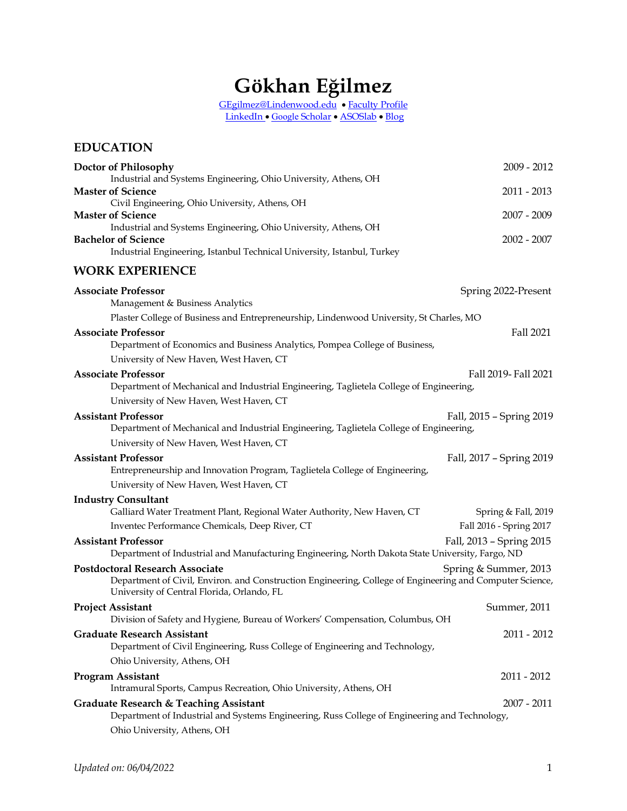# **Gökhan Eğilmez**

[GEgilmez@Lindenwood.edu](mailto:GEgilmez@Lindenwood.edu) • [Faculty Profile](https://www.lindenwood.edu/about/directories/faculty-staff-directory/details/gegilmez/) [LinkedIn](https://www.linkedin.com/in/gokhanegilmez/) • [Google](https://scholar.google.com/citations?user=UrGRkmEAAAAJ&hl=en) [Scholar](https://scholar.google.com/citations?user=UrGRkmEAAAAJ&hl=en) • [ASOSlab](https://asoslab.wordpress.com/) • [Blog](https://gokhanegilmez.wordpress.com/)

# **EDUCATION Doctor of Philosophy** 2009 - 2012 Industrial and Systems Engineering, Ohio University, Athens, OH **Master of Science** 2011 - 2013 Civil Engineering, Ohio University, Athens, OH **Master of Science** 2007 - 2009 Industrial and Systems Engineering, Ohio University, Athens, OH **Bachelor of Science** 2002 - 2007 Industrial Engineering, Istanbul Technical University, Istanbul, Turkey **WORK EXPERIENCE Associate Professor** Spring 2022-Present Management & Business Analytics Plaster College of Business and Entrepreneurship, Lindenwood University, St Charles, MO **Associate Professor** Fall 2021 Department of Economics and Business Analytics, Pompea College of Business, University of New Haven, West Haven, CT **Associate Professor**Fall 2019- Fall 2021 Department of Mechanical and Industrial Engineering, Taglietela College of Engineering, University of New Haven, West Haven, CT **Assistant Professor** Fall, 2015 – Spring 2019 Department of Mechanical and Industrial Engineering, Taglietela College of Engineering, University of New Haven, West Haven, CT **Assistant Professor** Fall, 2017 – Spring 2019 Entrepreneurship and Innovation Program, Taglietela College of Engineering, University of New Haven, West Haven, CT **Industry Consultant** Galliard Water Treatment Plant, Regional Water Authority, New Haven, CT Spring & Fall, 2019 Inventec Performance Chemicals, Deep River, CT Fall 2016 - Spring 2017 **Assistant Professor** Fall, 2013 – Spring 2015 Department of Industrial and Manufacturing Engineering, North Dakota State University, Fargo, ND **Postdoctoral Research Associate Spring & Summer, 2013** Department of Civil, Environ. and Construction Engineering, College of Engineering and Computer Science, University of Central Florida, Orlando, FL **Project Assistant** Summer, 2011 Division of Safety and Hygiene, Bureau of Workers' Compensation, Columbus, OH **Graduate Research Assistant** 2011 - 2012 Department of Civil Engineering, Russ College of Engineering and Technology, Ohio University, Athens, OH **Program Assistant** 2011 - 2012 Intramural Sports, Campus Recreation, Ohio University, Athens, OH **Graduate Research & Teaching Assistant** 2007 - 2011 Department of Industrial and Systems Engineering, Russ College of Engineering and Technology, Ohio University, Athens, OH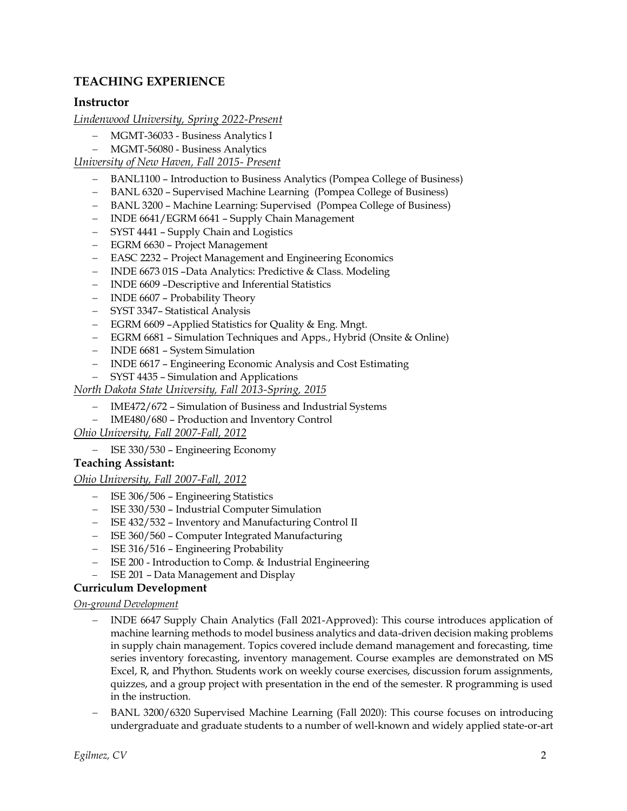# **TEACHING EXPERIENCE**

# **Instructor**

*Lindenwood University, Spring 2022-Present*

- − MGMT-36033 Business Analytics I
- − MGMT-56080 Business Analytics

*University of New Haven, Fall 2015- Present*

- − BANL1100 Introduction to Business Analytics (Pompea College of Business)
- − BANL 6320 Supervised Machine Learning (Pompea College of Business)
- − BANL 3200 Machine Learning: Supervised (Pompea College of Business)
- − INDE 6641/EGRM 6641 Supply Chain Management
- − SYST 4441 Supply Chain and Logistics
- − EGRM 6630 Project Management
- − EASC 2232 Project Management and Engineering Economics
- − INDE 6673 01S –Data Analytics: Predictive & Class. Modeling
- − INDE 6609 –Descriptive and Inferential Statistics
- − INDE 6607 Probability Theory
- − SYST 3347– Statistical Analysis
- − EGRM 6609 –Applied Statistics for Quality & Eng. Mngt.
- − EGRM 6681 Simulation Techniques and Apps., Hybrid (Onsite & Online)
- − INDE 6681 System Simulation
- − INDE 6617 Engineering Economic Analysis and Cost Estimating
- − SYST 4435 Simulation and Applications

*North Dakota State University, Fall 2013-Spring, 2015*

- − IME472/672 Simulation of Business and Industrial Systems
- − IME480/680 Production and Inventory Control

*Ohio University, Fall 2007-Fall, 2012*

− ISE 330/530 – Engineering Economy

## **Teaching Assistant:**

#### *Ohio University, Fall 2007-Fall, 2012*

- − ISE 306/506 Engineering Statistics
- − ISE 330/530 Industrial Computer Simulation
- − ISE 432/532 Inventory and Manufacturing Control II
- − ISE 360/560 Computer Integrated Manufacturing
- − ISE 316/516 Engineering Probability
- − ISE 200 Introduction to Comp. & Industrial Engineering
- − ISE 201 Data Management and Display

## **Curriculum Development**

#### *On-ground Development*

- − INDE 6647 Supply Chain Analytics (Fall 2021-Approved): This course introduces application of machine learning methods to model business analytics and data-driven decision making problems in supply chain management. Topics covered include demand management and forecasting, time series inventory forecasting, inventory management. Course examples are demonstrated on MS Excel, R, and Phython. Students work on weekly course exercises, discussion forum assignments, quizzes, and a group project with presentation in the end of the semester. R programming is used in the instruction.
- − BANL 3200/6320 Supervised Machine Learning (Fall 2020): This course focuses on introducing undergraduate and graduate students to a number of well-known and widely applied state-or-art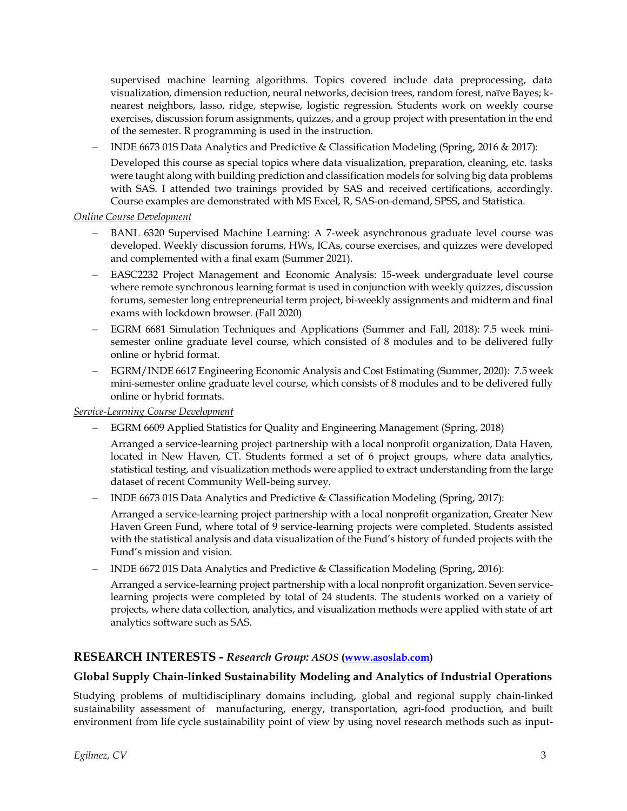supervised machine learning algorithms. Topics covered include data preprocessing, data visualization, dimension reduction, neural networks, decision trees, random forest, naïve Bayes; knearest neighbors, lasso, ridge, stepwise, logistic regression. Students work on weekly course exercises, discussion forum assignments, quizzes, and a group project with presentation in the end of the semester. R programming is used in the instruction.

− INDE 6673 01S Data Analytics and Predictive & Classification Modeling (Spring, 2016 & 2017):

Developed this course as special topics where data visualization, preparation, cleaning, etc. tasks were taught along with building prediction and classification models for solving big data problems with SAS. I attended two trainings provided by SAS and received certifications, accordingly. Course examples are demonstrated with MS Excel, R, SAS-on-demand, SPSS, and Statistica.

#### *Online Course Development*

- − BANL 6320 Supervised Machine Learning: A 7-week asynchronous graduate level course was developed. Weekly discussion forums, HWs, ICAs, course exercises, and quizzes were developed and complemented with a final exam (Summer 2021).
- − EASC2232 Project Management and Economic Analysis: 15-week undergraduate level course where remote synchronous learning format is used in conjunction with weekly quizzes, discussion forums, semester long entrepreneurial term project, bi-weekly assignments and midterm and final exams with lockdown browser. (Fall 2020)
- − EGRM 6681 Simulation Techniques and Applications (Summer and Fall, 2018): 7.5 week minisemester online graduate level course, which consisted of 8 modules and to be delivered fully online or hybrid format.
- − EGRM/INDE 6617 Engineering Economic Analysis and Cost Estimating (Summer, 2020): 7.5 week mini-semester online graduate level course, which consists of 8 modules and to be delivered fully online or hybrid formats.

#### *Service-Learning Course Development*

− EGRM 6609 Applied Statistics for Quality and Engineering Management (Spring, 2018)

Arranged a service-learning project partnership with a local nonprofit organization, Data Haven, located in New Haven, CT. Students formed a set of 6 project groups, where data analytics, statistical testing, and visualization methods were applied to extract understanding from the large dataset of recent Community Well-being survey.

− INDE 6673 01S Data Analytics and Predictive & Classification Modeling (Spring, 2017):

Arranged a service-learning project partnership with a local nonprofit organization, Greater New Haven Green Fund, where total of 9 service-learning projects were completed. Students assisted with the statistical analysis and data visualization of the Fund's history of funded projects with the Fund's mission and vision.

− INDE 6672 01S Data Analytics and Predictive & Classification Modeling (Spring, 2016):

Arranged a service-learning project partnership with a local nonprofit organization. Seven servicelearning projects were completed by total of 24 students. The students worked on a variety of projects, where data collection, analytics, and visualization methods were applied with state of art analytics software such as SAS.

# **RESEARCH INTERESTS -** *Research Group: ASOS* **[\(www.asoslab.com\)](http://www.asoslab.com/)**

#### **Global Supply Chain-linked Sustainability Modeling and Analytics of Industrial Operations**

Studying problems of multidisciplinary domains including, global and regional supply chain-linked sustainability assessment of manufacturing, energy, transportation, agri-food production, and built environment from life cycle sustainability point of view by using novel research methods such as input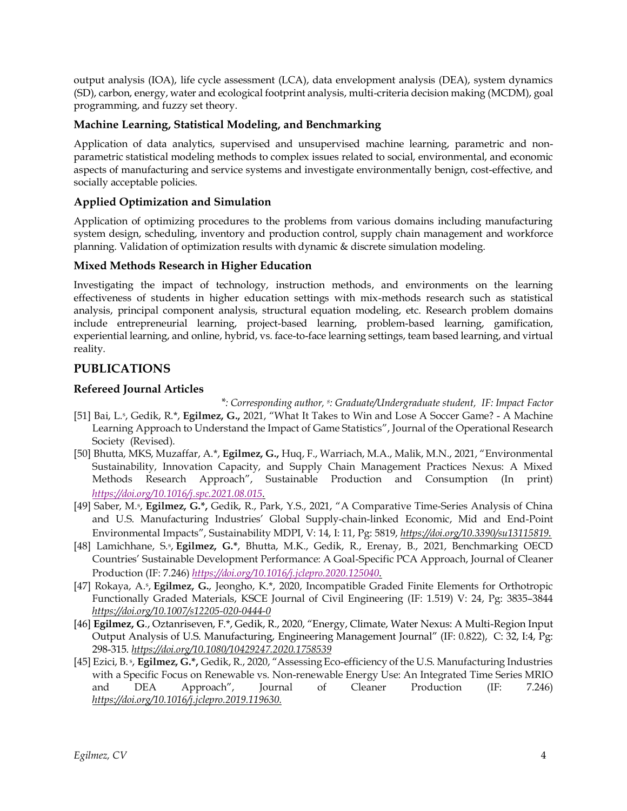output analysis (IOA), life cycle assessment (LCA), data envelopment analysis (DEA), system dynamics (SD), carbon, energy, water and ecological footprint analysis, multi-criteria decision making (MCDM), goal programming, and fuzzy set theory.

# **Machine Learning, Statistical Modeling, and Benchmarking**

Application of data analytics, supervised and unsupervised machine learning, parametric and nonparametric statistical modeling methods to complex issues related to social, environmental, and economic aspects of manufacturing and service systems and investigate environmentally benign, cost-effective, and socially acceptable policies.

# **Applied Optimization and Simulation**

Application of optimizing procedures to the problems from various domains including manufacturing system design, scheduling, inventory and production control, supply chain management and workforce planning. Validation of optimization results with dynamic & discrete simulation modeling.

## **Mixed Methods Research in Higher Education**

Investigating the impact of technology, instruction methods, and environments on the learning effectiveness of students in higher education settings with mix-methods research such as statistical analysis, principal component analysis, structural equation modeling, etc. Research problem domains include entrepreneurial learning, project-based learning, problem-based learning, gamification, experiential learning, and online, hybrid, vs. face-to-face learning settings, team based learning, and virtual reality.

# **PUBLICATIONS**

# **Refereed Journal Articles**

- \*: Corresponding author, <sup>s</sup>: Graduate/Undergraduate student, IF: Impact Factor [51] Bai, L.<sup>s</sup> , Gedik, R.\*, **Egilmez, G.,** 2021, "What It Takes to Win and Lose A Soccer Game? - A Machine Learning Approach to Understand the Impact of Game Statistics", Journal of the Operational Research Society (Revised).
- [50] Bhutta, MKS, Muzaffar, A.\*, **Egilmez, G.,** Huq, F., Warriach, M.A., Malik, M.N., 2021, "Environmental Sustainability, Innovation Capacity, and Supply Chain Management Practices Nexus: A Mixed Methods Research Approach", Sustainable Production and Consumption (In print) *<https://doi.org/10.1016/j.spc.2021.08.015>.*
- [49] Saber, M. s , **Egilmez, G.\*,** Gedik, R., Park, Y.S., 2021, "A Comparative Time-Series Analysis of China and U.S. Manufacturing Industries' Global Supply-chain-linked Economic, Mid and End-Point Environmental Impacts", Sustainability MDPI, V: 14, I: 11, Pg: 5819, *<https://doi.org/10.3390/su13115819>.*
- [48] Lamichhane, S.<sup>s</sup> , **Egilmez, G.\***, Bhutta, M.K., Gedik, R., Erenay, B., 2021, Benchmarking OECD Countries' Sustainable Development Performance: A Goal-Specific PCA Approach, Journal of Cleaner Production (IF: 7.246) *<https://doi.org/10.1016/j.jclepro.2020.125040>.*
- [47] Rokaya, A.<sup>s</sup> , **Egilmez, G.**, Jeongho, K.\*, 2020, Incompatible Graded Finite Elements for Orthotropic Functionally Graded Materials, KSCE Journal of Civil Engineering (IF: 1.519) V: 24, Pg: 3835–3844 *https://doi.org/10.1007/s12205-020-0444-0*
- [46] **Egilmez, G**., Oztanriseven, F.\*, Gedik, R., 2020, "Energy, Climate, Water Nexus: A Multi-Region Input Output Analysis of U.S. Manufacturing, Engineering Management Journal" (IF: 0.822), C: 32, I:4, Pg: 298-315. *<https://doi.org/10.1080/10429247.2020.1758539>*
- [45] Ezici, B. <sup>s</sup> , **Egilmez, G.\*,** Gedik, R., 2020, "Assessing Eco-efficiency of the U.S. Manufacturing Industries with a Specific Focus on Renewable vs. Non-renewable Energy Use: An Integrated Time Series MRIO and DEA Approach", Journal of Cleaner Production (IF: 7.246) *[https://doi.org/10.1016/j.jclepro.2019.119630.](https://doi.org/10.1016/j.jclepro.2019.119630)*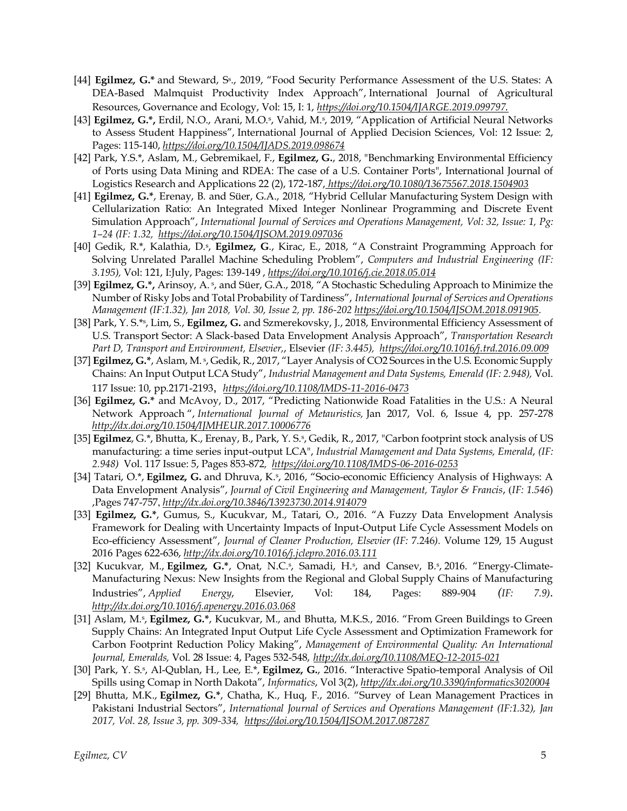- [44] **Egilmez, G.\*** and Steward, S<sup>s</sup>., 2019, "Food Security Performance Assessment of the U.S. States: A DEA-Based Malmquist Productivity Index Approach", International Journal of Agricultural Resources, Governance and Ecology, Vol: 15, I: 1, *<https://doi.org/10.1504/IJARGE.2019.099797>.*
- [43] Egilmez, G.\*, Erdil, N.O., Arani, M.O.<sup>5</sup>, Vahid, M.<sup>5</sup>, 2019, "Application of Artificial Neural Networks to Assess Student Happiness", International Journal of Applied Decision Sciences, Vol: 12 Issue: 2, Pages: 115-140, *<https://doi.org/10.1504/IJADS.2019.098674>*
- [42] Park, Y.S.\*, Aslam, M., Gebremikael, F., **Egilmez, G.**, 2018, "Benchmarking Environmental Efficiency of Ports using Data Mining and RDEA: The case of a U.S. Container Ports", International Journal of Logistics Research and Applications 22 (2), 172-187, *<https://doi.org/10.1080/13675567.2018.1504903>*
- [41] **Egilmez, G.\***, Erenay, B. and Süer, G.A., 2018, "Hybrid Cellular Manufacturing System Design with Cellularization Ratio: An Integrated Mixed Integer Nonlinear Programming and Discrete Event Simulation Approach", *International Journal of Services and Operations Management, Vol: 32, Issue: 1, Pg: 1–24 (IF: 1.32,<https://doi.org/10.1504/IJSOM.2019.097036>*
- [40] Gedik, R.\*, Kalathia, D.\*, Egilmez, G., Kirac, E., 2018, "A Constraint Programming Approach for Solving Unrelated Parallel Machine Scheduling Problem", *Computers and Industrial Engineering (IF: 3.195),* Vol: 121, I:July, Pages: 139-149 , *<https://doi.org/10.1016/j.cie.2018.05.014>*
- [39] **Egilmez, G.\*,** Arinsoy, A.\*, and Süer, G.A., 2018, "A Stochastic Scheduling Approach to Minimize the Number of Risky Jobs and Total Probability of Tardiness", *International Journal of Services and Operations Management (IF:1.32), Jan 2018, Vol. 30, Issue 2, pp. 186-202 [https://doi.org/10.1504/IJSOM.2018.091905.](https://doi.org/10.1504/IJSOM.2018.091905)*
- [38] Park, Y. S.\*<sup>s</sup> , Lim, S., **Egilmez, G.** and Szmerekovsky, J., 2018, Environmental Efficiency Assessment of U.S. Transport Sector: A Slack-based Data Envelopment Analysis Approach", *Transportation Research Part D, Transport and Environment, Elsevier,*, Elsevier *(IF: 3.445),<https://doi.org/10.1016/j.trd.2016.09.009>*
- [37] **Egilmez, G.\***, Aslam, M. <sup>s</sup>, Gedik, R., 2017, "Layer Analysis of CO2 Sources in the U.S. Economic Supply Chains: An Input Output LCA Study", *Industrial Management and Data Systems, Emerald (IF: 2.948),* Vol. 117 Issue: 10, pp.2171-2193, *<https://doi.org/10.1108/IMDS-11-2016-0473>*
- [36] **Egilmez, G.\*** and McAvoy, D., 2017, "Predicting Nationwide Road Fatalities in the U.S.: A Neural Network Approach ", *International Journal of Metauristics,* Jan 2017, Vol. 6, Issue 4, pp. 257-278 *<http://dx.doi.org/10.1504/IJMHEUR.2017.10006776>*
- [35] **Egilmez**, G.\*, Bhutta, K., Erenay, B., Park, Y. S.<sup>s</sup> , Gedik, R., 2017, ["Carbon footprint stock analysis of US](http://www.emeraldinsight.com/doi/abs/10.1108/IMDS-06-2016-0253)  [manufacturing: a time series input-output LCA",](http://www.emeraldinsight.com/doi/abs/10.1108/IMDS-06-2016-0253) *Industrial Management and Data Systems, Emerald*, *(IF: 2.948)* Vol. 117 Issue: 5, Pages 853-872*, <https://doi.org/10.1108/IMDS-06-2016-0253>*
- [34] Tatari, O.\*, **Egilmez, G.** and Dhruva, K.<sup>s</sup>, 2016, "Socio-economic Efficiency Analysis of Highways: A Data Envelopment Analysis", *Journal of Civil Engineering and Management, Taylor & Francis*, (*IF: 1.546*) ,Pages 747-757, *<http://dx.doi.org/10.3846/13923730.2014.914079>*
- [33] **Egilmez, G.\***, Gumus, S., Kucukvar, M., Tatari, O., 2016. "A Fuzzy Data Envelopment Analysis Framework for Dealing with Uncertainty Impacts of Input-Output Life Cycle Assessment Models on Eco-efficiency Assessment", *Journal of Cleaner Production, Elsevier (IF:* 7.246*).* Volume 129, 15 August 2016 Pages 622-636, *<http://dx.doi.org/10.1016/j.jclepro.2016.03.111>*
- [32] Kucukvar, M., Egilmez, G.\*, Onat, N.C.<sup>\$</sup>, Samadi, H.<sup>\$</sup>, and Cansev, B.<sup>\$</sup>, 2016. "Energy-Climate-Manufacturing Nexus: New Insights from the Regional and Global Supply Chains of Manufacturing Industries", *Applied Energy*, Elsevier, Vol: 184, Pages: 889-904 *(IF: 7.9)*. *<http://dx.doi.org/10.1016/j.apenergy.2016.03.068>*
- [31] Aslam, M.<sup>s</sup>, Egilmez, G.\*, Kucukvar, M., and Bhutta, M.K.S., 2016. "From Green Buildings to Green Supply Chains: An Integrated Input Output Life Cycle Assessment and Optimization Framework for Carbon Footprint Reduction Policy Making", *Management of Environmental Quality: An International Journal, Emeralds,* Vol. 28 Issue: 4, Pages 532-548, *http://dx.doi.org/10.1108/MEQ-12-2015-021*
- [30] Park, Y. S.<sup>s</sup> , Al-Qublan, H., Lee, E.\*, **Egilmez, G.**, 2016. "Interactive Spatio-temporal Analysis of Oil Spills using Comap in North Dakota", *Informatics*, Vol 3(2), *<http://dx.doi.org/10.3390/informatics3020004>*
- [29] Bhutta, M.K., **Egilmez, G.\***, Chatha, K., Huq, F., 2016. "Survey of Lean Management Practices in Pakistani Industrial Sectors", *International Journal of Services and Operations Management (IF:1.32), Jan 2017, Vol. 28, Issue 3, pp. 309-334, <https://doi.org/10.1504/IJSOM.2017.087287>*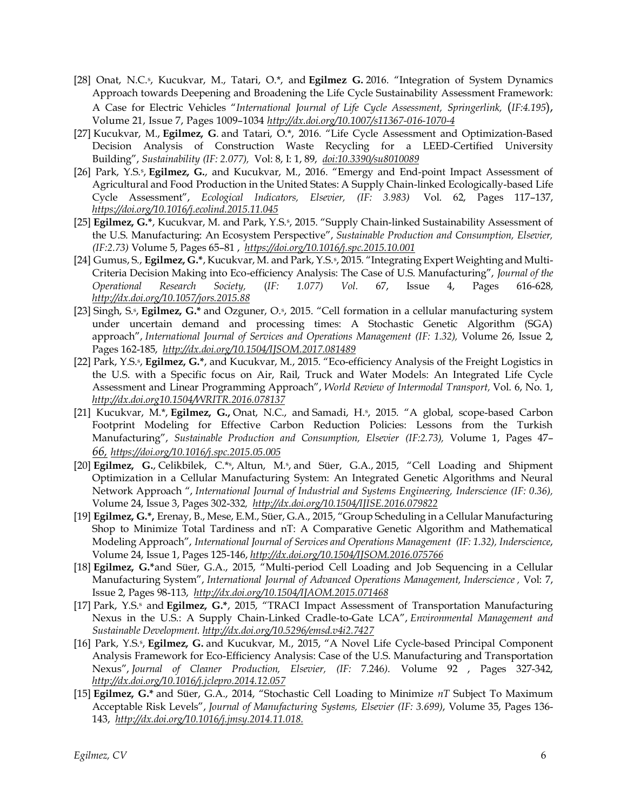- [28] Onat, N.C.<sup>s</sup>, Kucukvar, M., Tatari, O.<sup>\*</sup>, and **Egilmez G.** 2016. "Integration of System Dynamics Approach towards Deepening and Broadening the Life Cycle Sustainability Assessment Framework: A Case for Electric Vehicles "*International Journal of Life Cycle Assessment, Springerlink,* (*IF:4.195*), Volume 21, [Issue](https://link.springer.com/journal/11367/21/7/page/1) 7, Pages 1009–1034 *<http://dx.doi.org/10.1007/s11367-016-1070-4>*
- [27] Kucukvar, M., **Egilmez, G**. and Tatari, O.\*, 2016. "Life Cycle Assessment and Optimization-Based Decision Analysis of Construction Waste Recycling for a LEED-Certified University Building", *Sustainability (IF: 2.077),* Vol: 8, I: 1, 89, *do[i:10.3390/su8010089](http://www.mdpi.com/2071-1050/8/1/89)*
- [26] Park, Y.S.<sup>s</sup>, Egilmez, G., and Kucukvar, M., 2016. "Emergy and End-point Impact Assessment of Agricultural and Food Production in the United States: A Supply Chain-linked Ecologically-based Life Cycle Assessment", *Ecological Indicators, Elsevier, (IF: 3.983)* [Vol. 62,](http://www.sciencedirect.com/science/journal/1470160X/62/supp/C) Pages 117–137, *<https://doi.org/10.1016/j.ecolind.2015.11.045>*
- [25] Egilmez, G.\*, Kucukvar, M. and Park, Y.S.<sup>s</sup>, 2015. "Supply Chain-linked Sustainability Assessment of the U.S. Manufacturing: An Ecosystem Perspective", *Sustainable Production and Consumption, Elsevier, (IF:2.73)* [Volume 5,](http://www.sciencedirect.com/science/journal/23525509/5/supp/C) Pages 65–81 , *<https://doi.org/10.1016/j.spc.2015.10.001>*
- [24] Gumus, S., **Egilmez, G.\***, Kucukvar, M. and Park, Y.S.<sup>s</sup> , 2015. "Integrating Expert Weighting and Multi-Criteria Decision Making into Eco-efficiency Analysis: The Case of U.S. Manufacturing", *Journal of the Operational Research Society,* (*IF: 1.077) Vol.* 67, Issue 4, Pages 616-628, *<http://dx.doi.org/10.1057/jors.2015.88>*
- [23] Singh, S.<sup>s</sup>, Egilmez, G.\* and Ozguner, O.<sup>s</sup>, 2015. "Cell formation in a cellular manufacturing system under uncertain demand and processing times: A Stochastic Genetic Algorithm (SGA) approach", *International Journal of Services and Operations Management (IF: 1.32),* Volume 26, Issue 2, Pages 162-185, *<http://dx.doi.org/10.1504/IJSOM.2017.081489>*
- [22] Park, Y.S.<sup>s</sup> , **Egilmez, G.\***, and Kucukvar, M., 2015. "Eco-efficiency Analysis of the Freight Logistics in the U.S. with a Specific focus on Air, Rail, Truck and Water Models: An Integrated Life Cycle Assessment and Linear Programming Approach", *World Review of Intermodal Transport,* Vol. 6, No. 1, *http://dx.doi.org10.1504/WRITR.2016.078137*
- [21] Kucukvar, M.\*, Egilmez, G., Onat, N.C., and Samadi, H.<sup>s</sup>, 2015. "A global, scope-based Carbon Footprint Modeling for Effective Carbon Reduction Policies: Lessons from the Turkish Manufacturing", *Sustainable Production and Consumption, Elsevier (IF:2.73),* [Volume 1,](http://www.sciencedirect.com/science/journal/23525509/1/supp/C) Pages 47– *66, <https://doi.org/10.1016/j.spc.2015.05.005>*
- [20] **Egilmez, G.**, Celikbilek, C.\*s, Altun, M.s, and Süer, G.A., 2015, "Cell Loading and Shipment Optimization in a Cellular Manufacturing System: An Integrated Genetic Algorithms and Neural Network Approach ", *International Journal of Industrial and Systems Engineering, Inderscience (IF: 0.36),*  Volume 24, Issue 3, Pages 302-332*, <http://dx.doi.org/10.1504/IJISE.2016.079822>*
- [19] **Egilmez, G.\*,** Erenay, B., Mese, E.M., Süer, G.A., 2015, "Group Scheduling in a Cellular Manufacturing Shop to Minimize Total Tardiness and nT: A Comparative Genetic Algorithm and Mathematical Modeling Approach", *International Journal of Services and Operations Management (IF: 1.32), Inderscience*, Volume 24, Issue 1, Pages 125-146, *<http://dx.doi.org/10.1504/IJSOM.2016.075766>*
- [18] **Egilmez, G.\***and Süer, G.A., 2015, "Multi-period Cell Loading and Job Sequencing in a Cellular Manufacturing System", *International Journal of Advanced Operations Management, Inderscience ,* Vol: 7, Issue 2, Pages 98-113, *<http://dx.doi.org/10.1504/IJAOM.2015.071468>*
- [17] Park, Y.S.<sup>s</sup> and Egilmez, G.\*, 2015, "TRACI Impact Assessment of Transportation Manufacturing Nexus in the U.S.: A Supply Chain-Linked Cradle-to-Gate LCA", *Environmental Management and Sustainable Development[. http://dx.doi.org/10.5296/emsd.v4i2.7427](http://dx.doi.org/10.5296/emsd.v4i2.7427)*
- [16] Park, Y.S.<sup>s</sup>, Egilmez, G. and Kucukvar, M., 2015, "A Novel Life Cycle-based Principal Component Analysis Framework for Eco-Efficiency Analysis: Case of the U.S. Manufacturing and Transportation Nexus", *Journal of Cleaner Production, Elsevier, (IF:* 7.246*)*. [Volume 92](http://www.sciencedirect.com/science/journal/09596526/92/supp/C) , Pages 327-342, *<http://dx.doi.org/10.1016/j.jclepro.2014.12.057>*
- [15] **Egilmez, G.\*** and Süer, G.A., 2014, "Stochastic Cell Loading to Minimize *nT* Subject To Maximum Acceptable Risk Levels", *Journal of Manufacturing Systems, Elsevier (IF: 3.699)*, Volume 35, Pages 136- 143, *[http://dx.doi.org/10.1016/j.jmsy.2014.11.018.](http://dx.doi.org/10.1016/j.jmsy.2014.11.018)*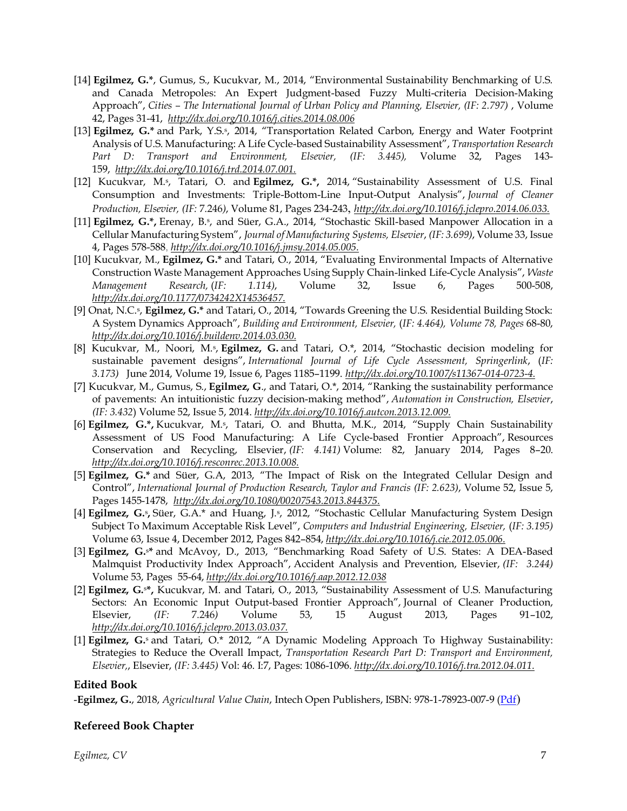- [14] **Egilmez, G.\***, Gumus, S., Kucukvar, M., 2014, "Environmental Sustainability Benchmarking of U.S. and Canada Metropoles: An Expert Judgment-based Fuzzy Multi-criteria Decision-Making Approach", *Cities – The International Journal of Urban Policy and Planning, Elsevier, (IF: 2.797)* , Volume 42, Pages 31-41, *<http://dx.doi.org/10.1016/j.cities.2014.08.006>*
- [13] **Egilmez, G.\*** and Park, Y.S.<sup>s</sup> , 2014, "Transportation Related Carbon, Energy and Water Footprint Analysis of U.S. Manufacturing: A Life Cycle-based Sustainability Assessment", *Transportation Research Part D: Transport and Environment, Elsevier, (IF: 3.445),* Volume 32, Pages 143- 159, *[http://dx.doi.org/10.1016/j.trd.2014.07.001.](http://dx.doi.org/10.1016/j.trd.2014.07.001)*
- [12] Kucukvar, M.<sup>s</sup>, Tatari, O. and Egilmez, G.\*, 2014, "Sustainability Assessment of U.S. Final Consumption and Investments: Triple-Bottom-Line Input-Output Analysis", *Journal of Cleaner Production, Elsevier, (IF:* 7.246*)*, Volume 81, Pages 234-243, *[http://dx.doi.org/10.1016/j.jclepro.2014.06.033.](http://dx.doi.org/10.1016/j.jclepro.2014.06.033)*
- [11] **Egilmez, G.\*,** Erenay, B.<sub>\*</sub>, and Süer, G.A., 2014, "Stochastic Skill-based Manpower Allocation in a Cellular Manufacturing System", *Journal of Manufacturing Systems, Elsevier*, *(IF: 3.699)*, Volume 33, Issue 4, Pages 578-588, *[http://dx.doi.org/10.1016/j.jmsy.2014.05.005.](http://dx.doi.org/10.1016/j.jmsy.2014.05.005)*
- [10] Kucukvar, M., **Egilmez, G.\*** and Tatari, O., 2014, "Evaluating Environmental Impacts of Alternative Construction Waste Management Approaches Using Supply Chain-linked Life-Cycle Analysis", *Waste Management Research,* (*IF: 1.114)*, Volume 32, Issue 6, Pages 500-508, *[http://dx.doi.org/10.1177/0734242X14536457.](http://dx.doi.org/10.1177/0734242X14536457)*
- [9] Onat, N.C.<sup>s</sup>, **Egilmez, G.\*** and Tatari, O., 2014, "Towards Greening the U.S. Residential Building Stock: A System Dynamics Approach", *Building and Environment, Elsevier,* (*IF: 4.464), Volume 78, Pages* 68-80, *[http://dx.doi.org/10.1016/j.buildenv.2014.03.030.](http://dx.doi.org/10.1016/j.buildenv.2014.03.030)*
- [8] Kucukvar, M., Noori, M.<sup>s</sup> , **Egilmez, G.** and Tatari, O.\*, 2014, "Stochastic decision modeling for sustainable pavement designs", *International Journal of Life Cycle Assessment, Springerlink*, (*IF: 3.173)* June 2014, Volume 19, [Issue](https://link.springer.com/journal/11367/19/6/page/1) 6, Pages 1185–1199. *[http://dx.doi.org/10.1007/s11367-014-0723-4.](http://dx.doi.org/10.1007/s11367-014-0723-4)*
- [7] Kucukvar, M., Gumus, S., **Egilmez, G**., and Tatari, O.\*, 2014, "Ranking the sustainability performance of pavements: An intuitionistic fuzzy decision-making method", *Automation in Construction, Elsevier*, *(IF: 3.432*) Volume 52, Issue 5, 2014. *[http://dx.doi.org/10.1016/j.autcon.2013.12.009.](http://dx.doi.org/10.1016/j.autcon.2013.12.009)*
- [6] **Egilmez, G.\*,** Kucukvar, M.<sup>s</sup> , Tatari, O. and Bhutta, M.K., 2014, "Supply Chain Sustainability Assessment of US Food Manufacturing: A Life Cycle-based Frontier Approach", Resources Conservation and Recycling, Elsevier, *(IF: 4.141)* Volume: 82, January 2014, Pages 8–20. *[http://dx.doi.org/10.1016/j.resconrec.2013.10.008.](http://dx.doi.org/10.1016/j.resconrec.2013.10.008)*
- [5] **Egilmez, G.\*** and Süer, G.A, 2013, "The Impact of Risk on the Integrated Cellular Design and Control", *International Journal of Production Research, Taylor and Francis (IF: 2.623)*, Volume 52, Issue 5, Pages 1455-1478, *[http://dx.doi.org/10.1080/00207543.2013.844375.](http://dx.doi.org/10.1080/00207543.2013.844375)*
- [4] **Egilmez, G.**<sup>s</sup>, Süer, G.A.\* and Huang, J.<sup>s</sup>, 2012, "Stochastic Cellular Manufacturing System Design Subject To Maximum Acceptable Risk Level", *Computers and Industrial Engineering, Elsevier,* (*IF: 3.195)* Volume 63, Issue 4, December 2012, Pages 842–854, *[http://dx.doi.org/10.1016/j.cie.2012.05.006.](http://dx.doi.org/10.1016/j.cie.2012.05.006)*
- [3] **Egilmez, G.**s**\*** and McAvoy, D., 2013, "Benchmarking Road Safety of U.S. States: A DEA-Based Malmquist Productivity Index Approach", Accident Analysis and Prevention, Elsevier, *(IF: 3.244)* Volume 53, Pages 55-64, *<http://dx.doi.org/10.1016/j.aap.2012.12.038>*
- [2] **Egilmez, G.**s**\*,** Kucukvar, M. and Tatari, O., 2013, "Sustainability Assessment of U.S. Manufacturing Sectors: An Economic Input Output-based Frontier Approach", Journal of Cleaner Production, Elsevier, *(IF:* 7.246*)* Volume 53, 15 August 2013, Pages 91–102, *[http://dx.doi.org/10.1016/j.jclepro.2013.03.037.](http://dx.doi.org/10.1016/j.jclepro.2013.03.037)*
- [1] **Egilmez, G.**<sup>s</sup> and Tatari, O.\* 2012, "A Dynamic Modeling Approach To Highway Sustainability: Strategies to Reduce the Overall Impact, *Transportation Research Part D: Transport and Environment, Elsevier,*, Elsevier, *(IF: 3.445)* Vol: 46. I:7, Pages: 1086-1096. *[http://dx.doi.org/10.1016/j.tra.2012.04.011.](http://dx.doi.org/10.1016/j.tra.2012.04.011)*

#### **Edited Book**

-**Egilmez, G.**, 2018, *Agricultural Value Chain*, Intech Open Publishers, ISBN: 978-1-78923-007-9 [\(Pdf](https://www.intechopen.com/books/agricultural-value-chain))

#### **Refereed Book Chapter**

*Egilmez, CV* 7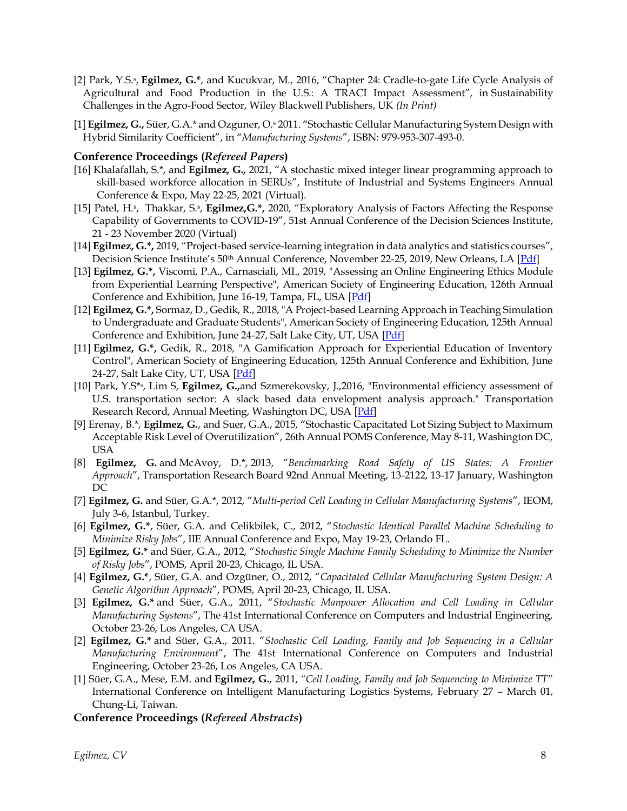- [2] Park, Y.S.<sup>s</sup> , **Egilmez, G.\***, and Kucukvar, M., 2016, "Chapter 24: Cradle-to-gate Life Cycle Analysis of Agricultural and Food Production in the U.S.: A TRACI Impact Assessment", in Sustainability Challenges in the Agro-Food Sector, Wiley Blackwell Publishers, UK *(In Print)*
- [1] **Egilmez, G.,** Süer, G.A.\* and Ozguner, O.<sup>s</sup> 2011. "Stochastic Cellular Manufacturing System Design with Hybrid Similarity Coefficient", in "*Manufacturing Systems*", ISBN: 979-953-307-493-0.

#### **Conference Proceedings (***Refereed Papers***)**

- [16] Khalafallah, S.\*, and **Egilmez, G.,** 2021, "A stochastic mixed integer linear programming approach to skill-based workforce allocation in SERUs", Institute of Industrial and Systems Engineers Annual Conference & Expo, May 22-25, 2021 (Virtual).
- [15] Patel, H.<sup>s</sup>, Thakkar, S.<sup>s</sup>, **Egilmez, G.\***, 2020, "Exploratory Analysis of Factors Affecting the Response Capability of Governments to COVID-19", 51st Annual Conference of the Decision Sciences Institute, 21 - 23 November 2020 (Virtual)
- [14] **Egilmez, G.\*,** 2019, "Project-based service-learning integration in data analytics and statistics courses", Decision Science Institute's 50<sup>th</sup> Annual Conference, November 22-25, 2019, New Orleans, LA [\[Pdf\]](https://www.dropbox.com/s/9v53303vrpsup4j/DSI2019_FinalPaper_Egilmez.pdf?dl=0)
- [13] **Egilmez, G.\*,** Viscomi, P.A., Carnasciali, MI., 2019, "Assessing an Online Engineering Ethics Module from Experiential Learning Perspective", American Society of Engineering Education, 126th Annual Conference and Exhibition, June 16-19, Tampa, FL, USA [\[Pdf\]](https://peer.asee.org/assessing-an-online-engineering-ethics-module-from-experiential-learning-perspective)
- [12] **Egilmez, G.\*,** Sormaz, D., Gedik, R., 2018, "A Project-based Learning Approach in Teaching Simulation to Undergraduate and Graduate Students", American Society of Engineering Education, 125th Annual Conference and Exhibition, June 24-27, Salt Lake City, UT, USA [\[Pdf\]](https://peer.asee.org/a-project-based-learning-approach-in-teaching-simulation-to-undergraduate-and-graduate-students)
- [11] **Egilmez, G.\*,** Gedik, R., 2018, "A Gamification Approach for Experiential Education of Inventory Control", American Society of Engineering Education, 125th Annual Conference and Exhibition, June 24-27, Salt Lake City, UT, USA [\[Pdf\]](https://peer.asee.org/a-gamification-approach-for-experiential-education-of-inventory-control)
- [10] Park, Y.S\*<sup>s</sup> , Lim S, **Egilmez, G.,**and Szmerekovsky, J.,2016, "Environmental efficiency assessment of U.S. transportation sector: A slack based data envelopment analysis approach." Transportation Research Record, Annual Meeting, Washington DC, USA [\[Pdf\]](https://trid.trb.org/view/1513880)
- [9] Erenay, B.\*, **Egilmez, G.**, and Suer, G.A., 2015, "Stochastic Capacitated Lot Sizing Subject to Maximum Acceptable Risk Level of Overutilization", 26th Annual POMS Conference, May 8-11, Washington DC, USA
- [8] **Egilmez, G.** and McAvoy, D.\*, 2013, "*Benchmarking Road Safety of US States: A Frontier Approach*", Transportation Research Board 92nd Annual Meeting, 13-2122, 13-17 January, Washington DC
- [7] **Egilmez, G.** and Süer, G.A.\*, 2012, "*Multi-period Cell Loading in Cellular Manufacturing Systems*", IEOM, July 3-6, Istanbul, Turkey.
- [6] **Egilmez, G.\***, Süer, G.A. and Celikbilek, C., 2012, "*Stochastic Identical Parallel Machine Scheduling to Minimize Risky Jobs*", IIE Annual Conference and Expo, May 19-23, Orlando FL.
- [5] **Egilmez, G.\*** and Süer, G.A., 2012, "*Stochastic Single Machine Family Scheduling to Minimize the Number of Risky Jobs*", POMS, April 20-23, Chicago, IL USA.
- [4] **Egilmez, G.\***, Süer, G.A. and Ozgüner, O., 2012, "*Capacitated Cellular Manufacturing System Design: A Genetic Algorithm Approach*", POMS, April 20-23, Chicago, IL USA.
- [3] **Egilmez, G.\*** and Süer, G.A., 2011, "*Stochastic Manpower Allocation and Cell Loading in Cellular Manufacturing Systems*", The 41st International Conference on Computers and Industrial Engineering, October 23-26, Los Angeles, CA USA.
- [2] **Egilmez, G.\*** and Süer, G.A., 2011. "*Stochastic Cell Loading, Family and Job Sequencing in a Cellular Manufacturing Environment*", The 41st International Conference on Computers and Industrial Engineering, October 23-26, Los Angeles, CA USA.
- [1] Süer, G.A., Mese, E.M. and **Egilmez, G.**, 2011, *"Cell Loading, Family and Job Sequencing to Minimize TT*" International Conference on Intelligent Manufacturing Logistics Systems, February 27 – March 01, Chung-Li, Taiwan.

#### **Conference Proceedings (***Refereed Abstracts***)**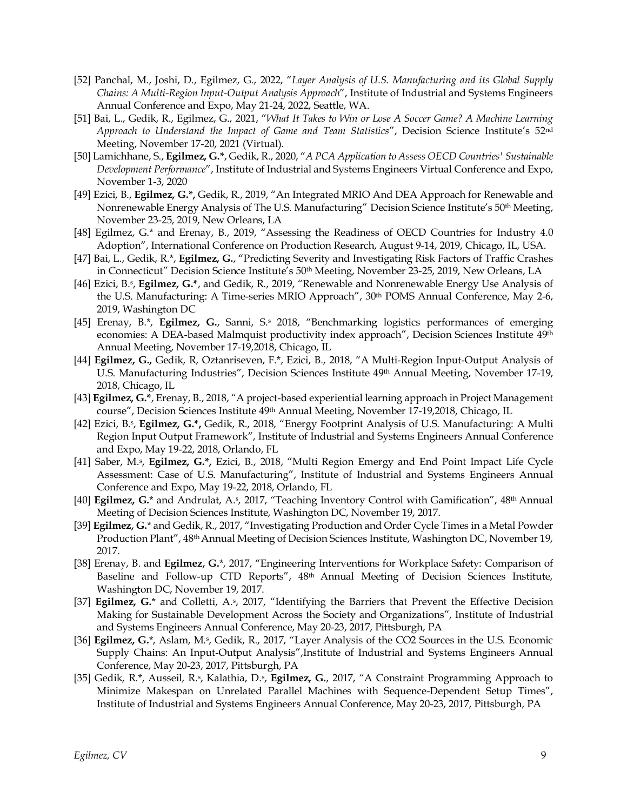- [52] Panchal, M., Joshi, D., Egilmez, G., 2022, "*Layer Analysis of U.S. Manufacturing and its Global Supply Chains: A Multi-Region Input-Output Analysis Approach*", Institute of Industrial and Systems Engineers Annual Conference and Expo, May 21-24, 2022, Seattle, WA.
- [51] Bai, L., Gedik, R., Egilmez, G., 2021, "*What It Takes to Win or Lose A Soccer Game? A Machine Learning Approach to Understand the Impact of Game and Team Statistics*", Decision Science Institute's 52nd Meeting, November 17-20, 2021 (Virtual).
- [50] Lamichhane, S., **Egilmez, G.\***, Gedik, R., 2020, "*A PCA Application to Assess OECD Countries' Sustainable Development Performance*", Institute of Industrial and Systems Engineers Virtual Conference and Expo, November 1-3, 2020
- [49] Ezici, B., **Egilmez, G.\*,** Gedik, R., 2019, "An Integrated MRIO And DEA Approach for Renewable and Nonrenewable Energy Analysis of The U.S. Manufacturing" Decision Science Institute's 50<sup>th</sup> Meeting, November 23-25, 2019, New Orleans, LA
- [48] Egilmez, G.\* and Erenay, B., 2019, "Assessing the Readiness of OECD Countries for Industry 4.0 Adoption", International Conference on Production Research, August 9-14, 2019, Chicago, IL, USA.
- [47] Bai, L., Gedik, R.\*, **Egilmez, G.**, "Predicting Severity and Investigating Risk Factors of Traffic Crashes in Connecticut" Decision Science Institute's 50<sup>th</sup> Meeting, November 23-25, 2019, New Orleans, LA
- [46] Ezici, B.<sup>s</sup> , **Egilmez, G.\***, and Gedik, R., 2019, "Renewable and Nonrenewable Energy Use Analysis of the U.S. Manufacturing: A Time-series MRIO Approach", 30th POMS Annual Conference, May 2-6, 2019, Washington DC
- [45] Erenay, B.\*, **Egilmez, G.**, Sanni, S.<sup>s</sup> 2018, "Benchmarking logistics performances of emerging economies: A DEA-based Malmquist productivity index approach", Decision Sciences Institute 49<sup>th</sup> Annual Meeting, November 17-19,2018, Chicago, IL
- [44] **Egilmez, G.,** Gedik, R, Oztanriseven, F.\*, Ezici, B., 2018, "A Multi-Region Input-Output Analysis of U.S. Manufacturing Industries", Decision Sciences Institute 49th Annual Meeting, November 17-19, 2018, Chicago, IL
- [43] **Egilmez, G.\***, Erenay, B., 2018, "A project-based experiential learning approach in Project Management course", Decision Sciences Institute 49th Annual Meeting, November 17-19,2018, Chicago, IL
- [42] Ezici, B.<sup>s</sup> , **Egilmez, G.\*,** Gedik, R., 2018, "Energy Footprint Analysis of U.S. Manufacturing: A Multi Region Input Output Framework", Institute of Industrial and Systems Engineers Annual Conference and Expo, May 19-22, 2018, Orlando, FL
- [41] Saber, M.<sup>s</sup> , **Egilmez, G.\*,** Ezici, B., 2018, "Multi Region Emergy and End Point Impact Life Cycle Assessment: Case of U.S. Manufacturing", Institute of Industrial and Systems Engineers Annual Conference and Expo, May 19-22, 2018, Orlando, FL
- [40] **Egilmez, G.**\* and Andrulat, A.<sup>s</sup> , 2017, "Teaching Inventory Control with Gamification", 48th Annual Meeting of Decision Sciences Institute, Washington DC, November 19, 2017.
- [39] **Egilmez, G.**\* and Gedik, R., 2017, "Investigating Production and Order Cycle Times in a Metal Powder Production Plant", 48th Annual Meeting of Decision Sciences Institute, Washington DC, November 19, 2017.
- [38] Erenay, B. and **Egilmez, G.**\*, 2017, "Engineering Interventions for Workplace Safety: Comparison of Baseline and Follow-up CTD Reports", 48th Annual Meeting of Decision Sciences Institute, Washington DC, November 19, 2017.
- [37] **Egilmez, G.**\* and Colletti, A.<sup>s</sup>, 2017, "Identifying the Barriers that Prevent the Effective Decision Making for Sustainable Development Across the Society and Organizations", Institute of Industrial and Systems Engineers Annual Conference, May 20-23, 2017, Pittsburgh, PA
- [36] **Egilmez, G.**\*, Aslam, M.<sup>s</sup> , Gedik, R., 2017, "Layer Analysis of the CO2 Sources in the U.S. Economic Supply Chains: An Input-Output Analysis",Institute of Industrial and Systems Engineers Annual Conference, May 20-23, 2017, Pittsburgh, PA
- [35] Gedik, R.\*, Ausseil, R.<sub>\*</sub>, Kalathia, D.<sub>\*</sub>, **Egilmez, G.**, 2017, "A Constraint Programming Approach to Minimize Makespan on Unrelated Parallel Machines with Sequence-Dependent Setup Times", Institute of Industrial and Systems Engineers Annual Conference, May 20-23, 2017, Pittsburgh, PA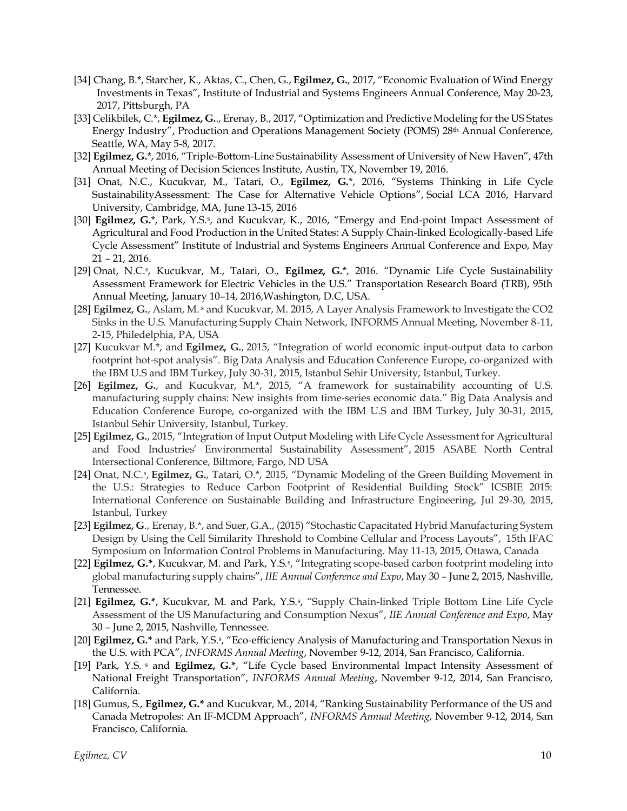- [34] Chang, B.\*, Starcher, K., Aktas, C., Chen, G., **Egilmez, G.**, 2017, "Economic Evaluation of Wind Energy Investments in Texas", Institute of Industrial and Systems Engineers Annual Conference, May 20-23, 2017, Pittsburgh, PA
- [33] Celikbilek, C.\*, **Egilmez, G.**., Erenay, B., 2017, "Optimization and Predictive Modeling for the US States Energy Industry", Production and Operations Management Society (POMS) 28<sup>th</sup> Annual Conference, Seattle, WA, May 5-8, 2017.
- [32] **Egilmez, G.**\*, 2016, "Triple-Bottom-Line Sustainability Assessment of University of New Haven", 47th Annual Meeting of Decision Sciences Institute, Austin, TX, November 19, 2016.
- [31] Onat, N.C., Kucukvar, M., Tatari, O., **Egilmez, G.**\*, 2016, "Systems Thinking in Life Cycle SustainabilityAssessment: The Case for Alternative Vehicle Options", Social LCA 2016, Harvard University, Cambridge, MA, June 13-15, 2016
- [30] **Egilmez, G.**\*, Park, Y.S.<sup>s</sup>, and Kucukvar, K., 2016, "Emergy and End-point Impact Assessment of Agricultural and Food Production in the United States: A Supply Chain-linked Ecologically-based Life Cycle Assessment" Institute of Industrial and Systems Engineers Annual Conference and Expo, May 21 – 21, 2016.
- [29] Onat, N.C.<sup>s</sup> , Kucukvar, M., Tatari, O., **Egilmez, G.**\*, 2016. "Dynamic Life Cycle Sustainability Assessment Framework for Electric Vehicles in the U.S." Transportation Research Board (TRB), 95th Annual Meeting, January 10–14, 2016,Washington, D.C, USA.
- [28] **Egilmez, G.**, Aslam, M. <sup>s</sup> and Kucukvar, M. 2015, A Layer Analysis Framework to Investigate the CO2 Sinks in the U.S. Manufacturing Supply Chain Network, INFORMS Annual Meeting, November 8-11, 2-15, Philedelphia, PA, USA
- [27] Kucukvar M.\*, and **Egilmez, G.**, 2015, "Integration of world economic input-output data to carbon footprint hot-spot analysis". Big Data Analysis and Education Conference Europe, co-organized with the IBM U.S and IBM Turkey, July 30-31, 2015, Istanbul Sehir University, Istanbul, Turkey.
- [26] **Egilmez, G.**, and Kucukvar, M.\*, 2015, "A framework for sustainability accounting of U.S. manufacturing supply chains: New insights from time-series economic data." Big Data Analysis and Education Conference Europe, co-organized with the IBM U.S and IBM Turkey, July 30-31, 2015, Istanbul Sehir University, Istanbul, Turkey.
- [25] **Egilmez, G.**, 2015, "Integration of Input Output Modeling with Life Cycle Assessment for Agricultural and Food Industries' Environmental Sustainability Assessment", 2015 ASABE North Central Intersectional Conference, Biltmore, Fargo, ND USA
- [24] Onat, N.C.<sup>s</sup> , **Egilmez, G.**, Tatari, O.\*, 2015, "Dynamic Modeling of the Green Building Movement in the U.S.: Strategies to Reduce Carbon Footprint of Residential Building Stock" ICSBIE 2015: International Conference on Sustainable Building and Infrastructure Engineering, Jul 29-30, 2015, Istanbul, Turkey
- [23] **Egilmez, G**., Erenay, B.\*, and Suer, G.A., (2015) "Stochastic Capacitated Hybrid Manufacturing System Design by Using the Cell Similarity Threshold to Combine Cellular and Process Layouts", 15th IFAC Symposium on Information Control Problems in Manufacturing. May 11-13, 2015, Ottawa, Canada
- [22] **Egilmez, G.\***, Kucukvar, M. and Park, Y.S.<sup>s</sup> , "Integrating scope-based carbon footprint modeling into global manufacturing supply chains", *IIE Annual Conference and Expo*, May 30 – June 2, 2015, Nashville, Tennessee.
- [21] Egilmez, G.\*, Kucukvar, M. and Park, Y.S.<sup>s</sup>, "Supply Chain-linked Triple Bottom Line Life Cycle Assessment of the US Manufacturing and Consumption Nexus", *IIE Annual Conference and Expo*, May 30 – June 2, 2015, Nashville, Tennessee.
- [20] **Egilmez, G.\*** and Park, Y.S.<sup>s</sup> , "Eco-efficiency Analysis of Manufacturing and Transportation Nexus in the U.S. with PCA", *INFORMS Annual Meeting*, November 9-12, 2014, San Francisco, California.
- [19] Park, Y.S. <sup>s</sup> and **Egilmez, G.\***, "Life Cycle based Environmental Impact Intensity Assessment of National Freight Transportation", *INFORMS Annual Meeting*, November 9-12, 2014, San Francisco, California.
- [18] Gumus, S., **Egilmez, G.\*** and Kucukvar, M., 2014, "Ranking Sustainability Performance of the US and Canada Metropoles: An IF-MCDM Approach", *INFORMS Annual Meeting*, November 9-12, 2014, San Francisco, California.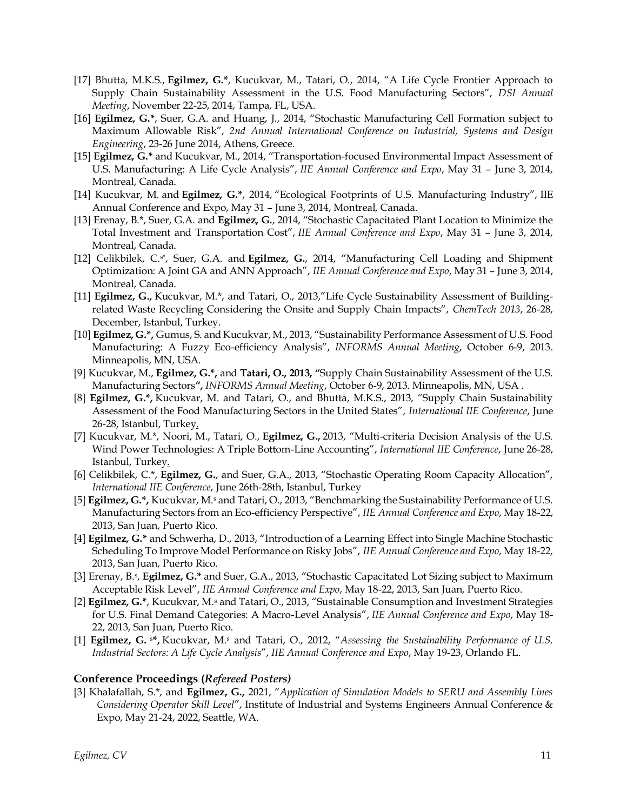- [17] Bhutta, M.K.S., **Egilmez, G.\***, Kucukvar, M., Tatari, O., 2014, "A Life Cycle Frontier Approach to Supply Chain Sustainability Assessment in the U.S. Food Manufacturing Sectors", *DSI Annual Meeting*, November 22-25, 2014, Tampa, FL, USA.
- [16] **Egilmez, G.\***, Suer, G.A. and Huang, J., 2014, "Stochastic Manufacturing Cell Formation subject to Maximum Allowable Risk", *2nd Annual International Conference on Industrial, Systems and Design Engineering*, 23-26 June 2014, Athens, Greece.
- [15] **Egilmez, G.\*** and Kucukvar, M., 2014, "Transportation-focused Environmental Impact Assessment of U.S. Manufacturing: A Life Cycle Analysis", *IIE Annual Conference and Expo*, May 31 – June 3, 2014, Montreal, Canada.
- [14] Kucukvar, M. and **Egilmez, G.\***, 2014, "Ecological Footprints of U.S. Manufacturing Industry", IIE Annual Conference and Expo, May 31 – June 3, 2014, Montreal, Canada.
- [13] Erenay, B.\*, Suer, G.A. and **Egilmez, G.**, 2014, "Stochastic Capacitated Plant Location to Minimize the Total Investment and Transportation Cost", *IIE Annual Conference and Expo*, May 31 – June 3, 2014, Montreal, Canada.
- [12] Celikbilek, C.<sup>s\*</sup>, Suer, G.A. and Egilmez, G., 2014, "Manufacturing Cell Loading and Shipment Optimization: A Joint GA and ANN Approach", *IIE Annual Conference and Expo*, May 31 – June 3, 2014, Montreal, Canada.
- [11] **Egilmez, G.,** Kucukvar, M.\*, and Tatari, O., 2013,"Life Cycle Sustainability Assessment of Buildingrelated Waste Recycling Considering the Onsite and Supply Chain Impacts", *ChemTech 2013*, 26-28, December, Istanbul, Turkey.
- [10] **Egilmez, G.\*,** Gumus, S. and Kucukvar, M., 2013, "Sustainability Performance Assessment of U.S. Food Manufacturing: A Fuzzy Eco-efficiency Analysis", *INFORMS Annual Meeting*, October 6-9, 2013. Minneapolis, MN, USA.
- [9] Kucukvar, M., **Egilmez, G.\*,** and **Tatari, O., 2013, "**Supply Chain Sustainability Assessment of the U.S. Manufacturing Sectors**",** *INFORMS Annual Meeting*, October 6-9, 2013. Minneapolis, MN, USA .
- [8] **Egilmez, G.\*,** Kucukvar, M. and Tatari, O., and Bhutta, M.K.S., 2013, "Supply Chain Sustainability Assessment of the Food Manufacturing Sectors in the United States", *International IIE Conference*, June 26-28, Istanbul, Turkey.
- [7] Kucukvar, M.\*, Noori, M., Tatari, O., **Egilmez, G.,** 2013, "Multi-criteria Decision Analysis of the U.S. Wind Power Technologies: A Triple Bottom-Line Accounting", *International IIE Conference*, June 26-28, Istanbul, Turkey.
- [6] Celikbilek, C.\*, **Egilmez, G.**, and Suer, G.A., 2013, "Stochastic Operating Room Capacity Allocation", *International IIE Conference*, June 26th-28th, Istanbul, Turkey
- [5] **Egilmez, G.\*,** Kucukvar, M.<sup>s</sup> and Tatari, O., 2013, "Benchmarking the Sustainability Performance of U.S. Manufacturing Sectors from an Eco-efficiency Perspective", *IIE Annual Conference and Expo*, May 18-22, 2013, San Juan, Puerto Rico.
- [4] **Egilmez, G.\*** and Schwerha, D., 2013, "Introduction of a Learning Effect into Single Machine Stochastic Scheduling To Improve Model Performance on Risky Jobs", *IIE Annual Conference and Expo*, May 18-22, 2013, San Juan, Puerto Rico.
- [3] Erenay, B.<sup>s</sup> , **Egilmez, G.\*** and Suer, G.A., 2013, "Stochastic Capacitated Lot Sizing subject to Maximum Acceptable Risk Level", *IIE Annual Conference and Expo*, May 18-22, 2013, San Juan, Puerto Rico.
- [2] **Egilmez, G.\***, Kucukvar, M.<sup>s</sup> and Tatari, O., 2013, "Sustainable Consumption and Investment Strategies for U.S. Final Demand Categories: A Macro-Level Analysis", *IIE Annual Conference and Expo*, May 18- 22, 2013, San Juan, Puerto Rico.
- [1] **Egilmez, G.** <sup>s</sup>**\*,** Kucukvar, M.<sup>s</sup> and Tatari, O., 2012, "*Assessing the Sustainability Performance of U.S. Industrial Sectors: A Life Cycle Analysis*", *IIE Annual Conference and Expo*, May 19-23, Orlando FL.

#### **Conference Proceedings (***Refereed Posters)*

[3] Khalafallah, S.\*, and **Egilmez, G.,** 2021, "*Application of Simulation Models to SERU and Assembly Lines Considering Operator Skill Level*", Institute of Industrial and Systems Engineers Annual Conference & Expo, May 21-24, 2022, Seattle, WA.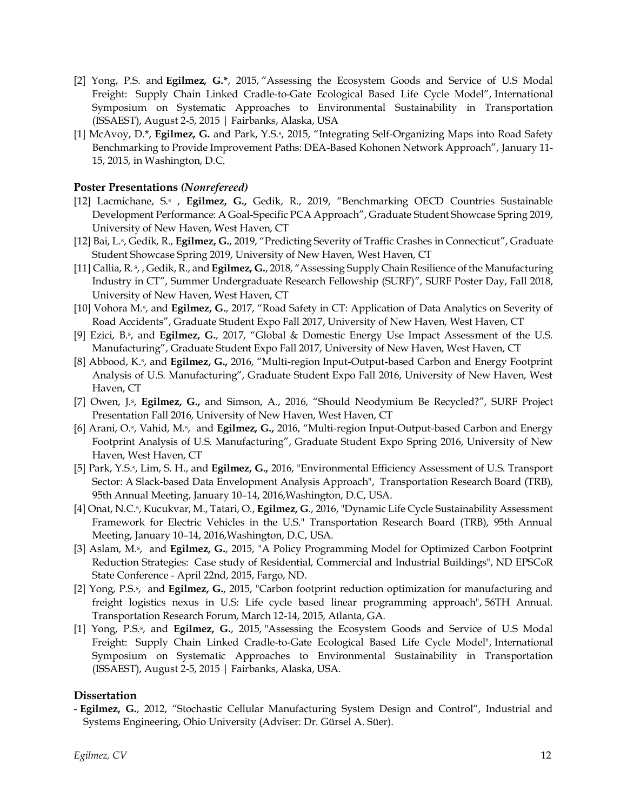- [2] Yong, P.S. and **Egilmez, G.\***, 2015, "Assessing the Ecosystem Goods and Service of U.S Modal Freight: Supply Chain Linked Cradle-to-Gate Ecological Based Life Cycle Model", International Symposium on Systematic Approaches to Environmental Sustainability in Transportation (ISSAEST), August 2-5, 2015 | Fairbanks, Alaska, USA
- [1] McAvoy, D.\*, **Egilmez, G.** and Park, Y.S.<sup>5</sup>, 2015, "Integrating Self-Organizing Maps into Road Safety Benchmarking to Provide Improvement Paths: DEA-Based Kohonen Network Approach", January 11- 15, 2015, in Washington, D.C.

#### **Poster Presentations** *(Nonrefereed)*

- [12] Lacmichane, S.<sup>s</sup> , **Egilmez, G.,** Gedik, R., 2019, "Benchmarking OECD Countries Sustainable Development Performance: A Goal-Specific PCA Approach", Graduate Student Showcase Spring 2019, University of New Haven, West Haven, CT
- [12] Bai, L.<sup>s</sup>, Gedik, R., Egilmez, G., 2019, "Predicting Severity of Traffic Crashes in Connecticut", Graduate Student Showcase Spring 2019, University of New Haven, West Haven, CT
- [11] Callia, R. <sup>s</sup> , , Gedik, R., and **Egilmez, G.**, 2018, "Assessing Supply Chain Resilience of the Manufacturing Industry in CT", Summer Undergraduate Research Fellowship (SURF)", SURF Poster Day, Fall 2018, University of New Haven, West Haven, CT
- [10] Vohora M.<sup>s</sup>, and Egilmez, G., 2017, "Road Safety in CT: Application of Data Analytics on Severity of Road Accidents", Graduate Student Expo Fall 2017, University of New Haven, West Haven, CT
- [9] Ezici, B.<sup>s</sup>, and Egilmez, G., 2017, "Global & Domestic Energy Use Impact Assessment of the U.S. Manufacturing", Graduate Student Expo Fall 2017, University of New Haven, West Haven, CT
- [8] Abbood, K.<sup>s</sup>, and **Egilmez, G.,** 2016, "Multi-region Input-Output-based Carbon and Energy Footprint Analysis of U.S. Manufacturing", Graduate Student Expo Fall 2016, University of New Haven, West Haven, CT
- [7] Owen, J.<sup>s</sup>, Egilmez, G., and Simson, A., 2016, "Should Neodymium Be Recycled?", SURF Project Presentation Fall 2016, University of New Haven, West Haven, CT
- [6] Arani, O.<sup>s</sup>, Vahid, M.<sup>s</sup>, and **Egilmez, G.,** 2016, "Multi-region Input-Output-based Carbon and Energy Footprint Analysis of U.S. Manufacturing", Graduate Student Expo Spring 2016, University of New Haven, West Haven, CT
- [5] Park, Y.S.<sup>s</sup> , Lim, S. H., and **Egilmez, G.,** 2016, "Environmental Efficiency Assessment of U.S. Transport Sector: A Slack-based Data Envelopment Analysis Approach", Transportation Research Board (TRB), 95th Annual Meeting, January 10–14, 2016,Washington, D.C, USA.
- [4] Onat, N.C.<sup>s</sup> , Kucukvar, M., Tatari, O., **Egilmez, G**., 2016, "Dynamic Life Cycle Sustainability Assessment Framework for Electric Vehicles in the U.S." Transportation Research Board (TRB), 95th Annual Meeting, January 10–14, 2016,Washington, D.C, USA.
- [3] Aslam, M.<sup>s</sup>, and Egilmez, G., 2015, "A Policy Programming Model for Optimized Carbon Footprint Reduction Strategies: Case study of Residential, Commercial and Industrial Buildings", ND EPSCoR State Conference - April 22nd, 2015, Fargo, ND.
- [2] Yong, P.S.<sup>s</sup> , and **Egilmez, G.**, 2015, "Carbon footprint reduction optimization for manufacturing and freight logistics nexus in U.S: Life cycle based linear programming approach", 56TH Annual. Transportation Research Forum, March 12-14, 2015, Atlanta, GA.
- [1] Yong, P.S.<sup>s</sup>, and **Egilmez, G.**, 2015, "Assessing the Ecosystem Goods and Service of U.S Modal Freight: Supply Chain Linked Cradle-to-Gate Ecological Based Life Cycle Model", International Symposium on Systematic Approaches to Environmental Sustainability in Transportation (ISSAEST), August 2-5, 2015 | Fairbanks, Alaska, USA.

#### **Dissertation**

- **Egilmez, G.**, 2012, "Stochastic Cellular Manufacturing System Design and Control", Industrial and Systems Engineering, Ohio University (Adviser: Dr. Gürsel A. Süer).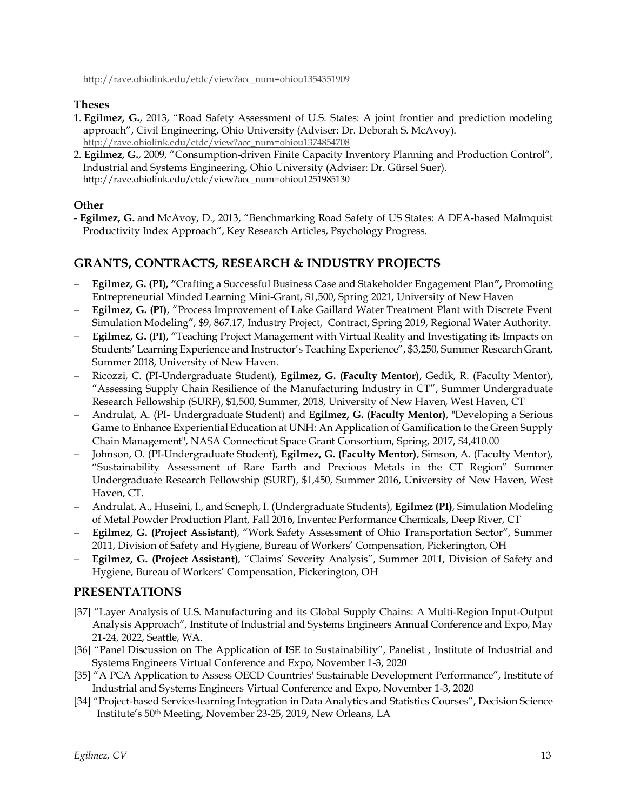[http://rave.ohiolink.edu/etdc/view?acc\\_num=ohiou1354351909](http://rave.ohiolink.edu/etdc/view?acc_num=ohiou1354351909)

#### **Theses**

- 1. **Egilmez, G.**, 2013, "Road Safety Assessment of U.S. States: A joint frontier and prediction modeling approach", Civil Engineering, Ohio University (Adviser: Dr. Deborah S. McAvoy). [http://rave.ohiolink.edu/etdc/view?acc\\_num=ohiou1374854708](http://rave.ohiolink.edu/etdc/view?acc_num=ohiou1374854708)
- 2. **Egilmez, G.**, 2009, "Consumption-driven Finite Capacity Inventory Planning and Production Control", Industrial and Systems Engineering, Ohio University (Adviser: Dr. Gürsel Suer). [http://rave.ohiolink.edu/etdc/view?acc\\_num=ohiou1251985130](http://rave.ohiolink.edu/etdc/view?acc_num=ohiou1251985130)

# **Other**

- **Egilmez, G.** and McAvoy, D., 2013, "Benchmarking Road Safety of US States: A DEA-based Malmquist Productivity Index Approach", Key Research Articles, Psychology Progress.

# **GRANTS, CONTRACTS, RESEARCH & INDUSTRY PROJECTS**

- − **Egilmez, G. (PI), "**Crafting a Successful Business Case and Stakeholder Engagement Plan**",** Promoting Entrepreneurial Minded Learning Mini-Grant, \$1,500, Spring 2021, University of New Haven
- − **Egilmez, G. (PI)**, "Process Improvement of Lake Gaillard Water Treatment Plant with Discrete Event Simulation Modeling", \$9, 867.17, Industry Project, Contract, Spring 2019, Regional Water Authority.
- − **Egilmez, G. (PI)**, "Teaching Project Management with Virtual Reality and Investigating its Impacts on Students' Learning Experience and Instructor's Teaching Experience", \$3,250, Summer Research Grant, Summer 2018, University of New Haven.
- − Ricozzi, C. (PI-Undergraduate Student), **Egilmez, G. (Faculty Mentor)**, Gedik, R. (Faculty Mentor), "Assessing Supply Chain Resilience of the Manufacturing Industry in CT", Summer Undergraduate Research Fellowship (SURF), \$1,500, Summer, 2018, University of New Haven, West Haven, CT
- − Andrulat, A. (PI- Undergraduate Student) and **Egilmez, G. (Faculty Mentor)**, "Developing a Serious Game to Enhance Experiential Education at UNH: An Application of Gamification to the Green Supply Chain Management", NASA Connecticut Space Grant Consortium, Spring, 2017, \$4,410.00
- − Johnson, O. (PI-Undergraduate Student), **Egilmez, G. (Faculty Mentor)**, Simson, A. (Faculty Mentor), "Sustainability Assessment of Rare Earth and Precious Metals in the CT Region" Summer Undergraduate Research Fellowship (SURF), \$1,450, Summer 2016, University of New Haven, West Haven, CT.
- − Andrulat, A., Huseini, I., and Scneph, I. (Undergraduate Students), **Egilmez (PI)**, Simulation Modeling of Metal Powder Production Plant, Fall 2016, Inventec Performance Chemicals, Deep River, CT
- − **Egilmez, G. (Project Assistant)**, "Work Safety Assessment of Ohio Transportation Sector", Summer 2011, Division of Safety and Hygiene, Bureau of Workers' Compensation, Pickerington, OH
- − **Egilmez, G. (Project Assistant)**, "Claims' Severity Analysis", Summer 2011, Division of Safety and Hygiene, Bureau of Workers' Compensation, Pickerington, OH

# **PRESENTATIONS**

- [37] "Layer Analysis of U.S. Manufacturing and its Global Supply Chains: A Multi-Region Input-Output Analysis Approach", Institute of Industrial and Systems Engineers Annual Conference and Expo, May 21-24, 2022, Seattle, WA.
- [36] "Panel Discussion on The Application of ISE to Sustainability", Panelist , Institute of Industrial and Systems Engineers Virtual Conference and Expo, November 1-3, 2020
- [35] "A PCA Application to Assess OECD Countries' Sustainable Development Performance", Institute of Industrial and Systems Engineers Virtual Conference and Expo, November 1-3, 2020
- [34] "Project-based Service-learning Integration in Data Analytics and Statistics Courses", Decision Science Institute's 50th Meeting, November 23-25, 2019, New Orleans, LA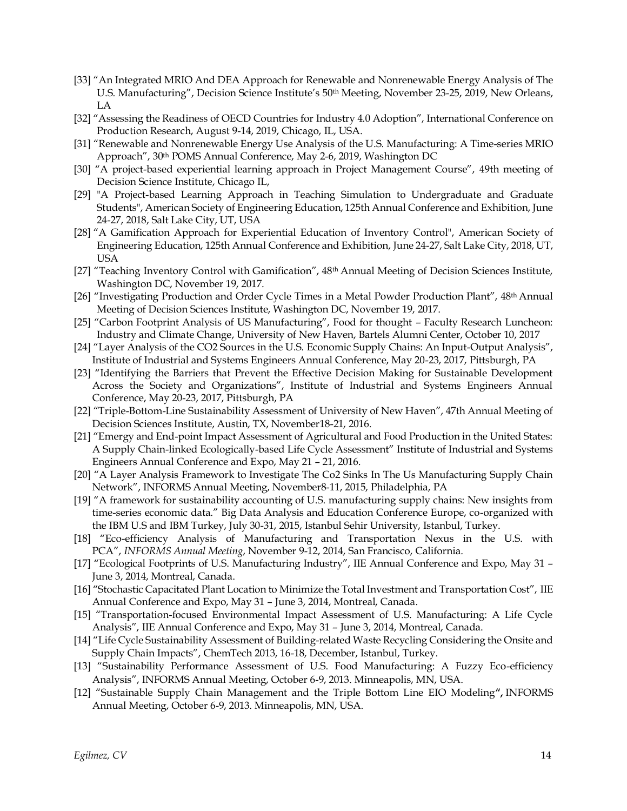- [33] "An Integrated MRIO And DEA Approach for Renewable and Nonrenewable Energy Analysis of The U.S. Manufacturing", Decision Science Institute's 50th Meeting, November 23-25, 2019, New Orleans, LA
- [32] "Assessing the Readiness of OECD Countries for Industry 4.0 Adoption", International Conference on Production Research, August 9-14, 2019, Chicago, IL, USA.
- [31] "Renewable and Nonrenewable Energy Use Analysis of the U.S. Manufacturing: A Time-series MRIO Approach", 30th POMS Annual Conference, May 2-6, 2019, Washington DC
- [30] "A project-based experiential learning approach in Project Management Course", 49th meeting of Decision Science Institute, Chicago IL,
- [29] "A Project-based Learning Approach in Teaching Simulation to Undergraduate and Graduate Students", American Society of Engineering Education, 125th Annual Conference and Exhibition, June 24-27, 2018, Salt Lake City, UT, USA
- [28] "A Gamification Approach for Experiential Education of Inventory Control", American Society of Engineering Education, 125th Annual Conference and Exhibition, June 24-27, Salt Lake City, 2018, UT, USA
- [27] "Teaching Inventory Control with Gamification", 48<sup>th</sup> Annual Meeting of Decision Sciences Institute, Washington DC, November 19, 2017.
- [26] "Investigating Production and Order Cycle Times in a Metal Powder Production Plant", 48th Annual Meeting of Decision Sciences Institute, Washington DC, November 19, 2017.
- [25] "Carbon Footprint Analysis of US Manufacturing", Food for thought Faculty Research Luncheon: Industry and Climate Change, University of New Haven, Bartels Alumni Center, October 10, 2017
- [24] "Layer Analysis of the CO2 Sources in the U.S. Economic Supply Chains: An Input-Output Analysis", Institute of Industrial and Systems Engineers Annual Conference, May 20-23, 2017, Pittsburgh, PA
- [23] "Identifying the Barriers that Prevent the Effective Decision Making for Sustainable Development Across the Society and Organizations", Institute of Industrial and Systems Engineers Annual Conference, May 20-23, 2017, Pittsburgh, PA
- [22] "Triple-Bottom-Line Sustainability Assessment of University of New Haven", 47th Annual Meeting of Decision Sciences Institute, Austin, TX, November18-21, 2016.
- [21] "Emergy and End-point Impact Assessment of Agricultural and Food Production in the United States: A Supply Chain-linked Ecologically-based Life Cycle Assessment" Institute of Industrial and Systems Engineers Annual Conference and Expo, May 21 – 21, 2016.
- [20] "A Layer Analysis Framework to Investigate The Co2 Sinks In The Us Manufacturing Supply Chain Network", INFORMS Annual Meeting, November8-11, 2015, Philadelphia, PA
- [19] "A framework for sustainability accounting of U.S. manufacturing supply chains: New insights from time-series economic data." Big Data Analysis and Education Conference Europe, co-organized with the IBM U.S and IBM Turkey, July 30-31, 2015, Istanbul Sehir University, Istanbul, Turkey.
- [18] "Eco-efficiency Analysis of Manufacturing and Transportation Nexus in the U.S. with PCA", *INFORMS Annual Meeting*, November 9-12, 2014, San Francisco, California.
- [17] "Ecological Footprints of U.S. Manufacturing Industry", IIE Annual Conference and Expo, May 31 June 3, 2014, Montreal, Canada.
- [16] "Stochastic Capacitated Plant Location to Minimize the Total Investment and Transportation Cost", IIE Annual Conference and Expo, May 31 – June 3, 2014, Montreal, Canada.
- [15] "Transportation-focused Environmental Impact Assessment of U.S. Manufacturing: A Life Cycle Analysis", IIE Annual Conference and Expo, May 31 – June 3, 2014, Montreal, Canada.
- [14] "Life Cycle Sustainability Assessment of Building-related Waste Recycling Considering the Onsite and Supply Chain Impacts", ChemTech 2013, 16-18, December, Istanbul, Turkey.
- [13] "Sustainability Performance Assessment of U.S. Food Manufacturing: A Fuzzy Eco-efficiency Analysis", INFORMS Annual Meeting, October 6-9, 2013. Minneapolis, MN, USA.
- [12] "Sustainable Supply Chain Management and the Triple Bottom Line EIO Modeling**",** INFORMS Annual Meeting, October 6-9, 2013. Minneapolis, MN, USA.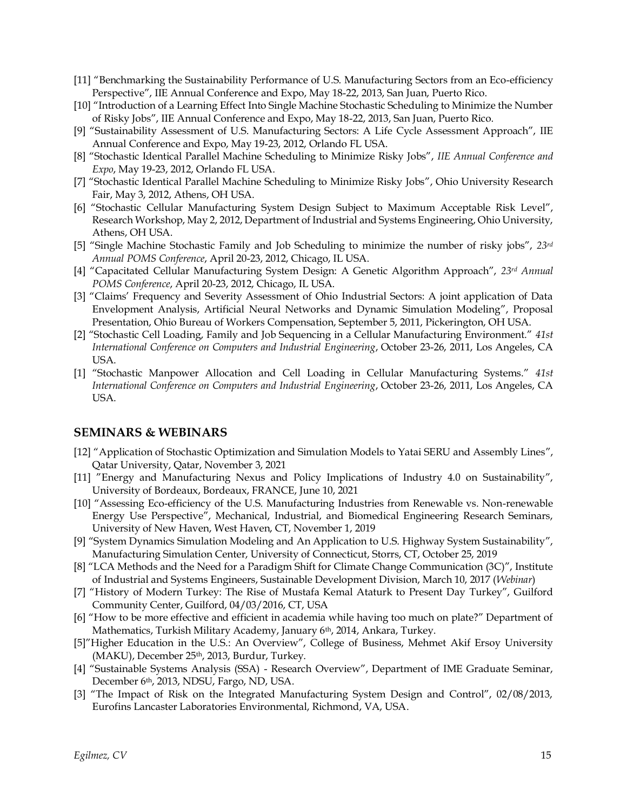- [11] "Benchmarking the Sustainability Performance of U.S. Manufacturing Sectors from an Eco-efficiency Perspective", IIE Annual Conference and Expo, May 18-22, 2013, San Juan, Puerto Rico.
- [10] "Introduction of a Learning Effect Into Single Machine Stochastic Scheduling to Minimize the Number of Risky Jobs", IIE Annual Conference and Expo, May 18-22, 2013, San Juan, Puerto Rico.
- [9] "Sustainability Assessment of U.S. Manufacturing Sectors: A Life Cycle Assessment Approach", IIE Annual Conference and Expo, May 19-23, 2012, Orlando FL USA.
- [8] "Stochastic Identical Parallel Machine Scheduling to Minimize Risky Jobs", *IIE Annual Conference and Expo*, May 19-23, 2012, Orlando FL USA.
- [7] "Stochastic Identical Parallel Machine Scheduling to Minimize Risky Jobs", Ohio University Research Fair, May 3, 2012, Athens, OH USA.
- [6] "Stochastic Cellular Manufacturing System Design Subject to Maximum Acceptable Risk Level", Research Workshop, May 2, 2012, Department of Industrial and Systems Engineering, Ohio University, Athens, OH USA.
- [5] "Single Machine Stochastic Family and Job Scheduling to minimize the number of risky jobs", *23rd Annual POMS Conference*, April 20-23, 2012, Chicago, IL USA.
- [4] "Capacitated Cellular Manufacturing System Design: A Genetic Algorithm Approach", *23rd Annual POMS Conference*, April 20-23, 2012, Chicago, IL USA.
- [3] "Claims' Frequency and Severity Assessment of Ohio Industrial Sectors: A joint application of Data Envelopment Analysis, Artificial Neural Networks and Dynamic Simulation Modeling", Proposal Presentation, Ohio Bureau of Workers Compensation, September 5, 2011, Pickerington, OH USA.
- [2] "Stochastic Cell Loading, Family and Job Sequencing in a Cellular Manufacturing Environment." *41st International Conference on Computers and Industrial Engineering*, October 23-26, 2011, Los Angeles, CA USA.
- [1] "Stochastic Manpower Allocation and Cell Loading in Cellular Manufacturing Systems." *41st International Conference on Computers and Industrial Engineering*, October 23-26, 2011, Los Angeles, CA USA.

## **SEMINARS & WEBINARS**

- [12] "Application of Stochastic Optimization and Simulation Models to Yatai SERU and Assembly Lines", Qatar University, Qatar, November 3, 2021
- [11] "Energy and Manufacturing Nexus and Policy Implications of Industry 4.0 on Sustainability", University of Bordeaux, Bordeaux, FRANCE, June 10, 2021
- [10] "Assessing Eco-efficiency of the U.S. Manufacturing Industries from Renewable vs. Non-renewable Energy Use Perspective", Mechanical, Industrial, and Biomedical Engineering Research Seminars, University of New Haven, West Haven, CT, November 1, 2019
- [9] "System Dynamics Simulation Modeling and An Application to U.S. Highway System Sustainability", Manufacturing Simulation Center, University of Connecticut, Storrs, CT, October 25, 2019
- [8] "LCA Methods and the Need for a Paradigm Shift for Climate Change Communication (3C)", Institute of Industrial and Systems Engineers, Sustainable Development Division, March 10, 2017 (*Webinar*)
- [7] "History of Modern Turkey: The Rise of Mustafa Kemal Ataturk to Present Day Turkey", Guilford Community Center, Guilford, 04/03/2016, CT, USA
- [6] "How to be more effective and efficient in academia while having too much on plate?" Department of Mathematics, Turkish Military Academy, January 6<sup>th</sup>, 2014, Ankara, Turkey.
- [5]"Higher Education in the U.S.: An Overview", College of Business, Mehmet Akif Ersoy University (MAKU), December 25th, 2013, Burdur, Turkey.
- [4] "Sustainable Systems Analysis (SSA) Research Overview", Department of IME Graduate Seminar, December 6th, 2013, NDSU, Fargo, ND, USA.
- [3] "The Impact of Risk on the Integrated Manufacturing System Design and Control", 02/08/2013, Eurofins Lancaster Laboratories Environmental, Richmond, VA, USA.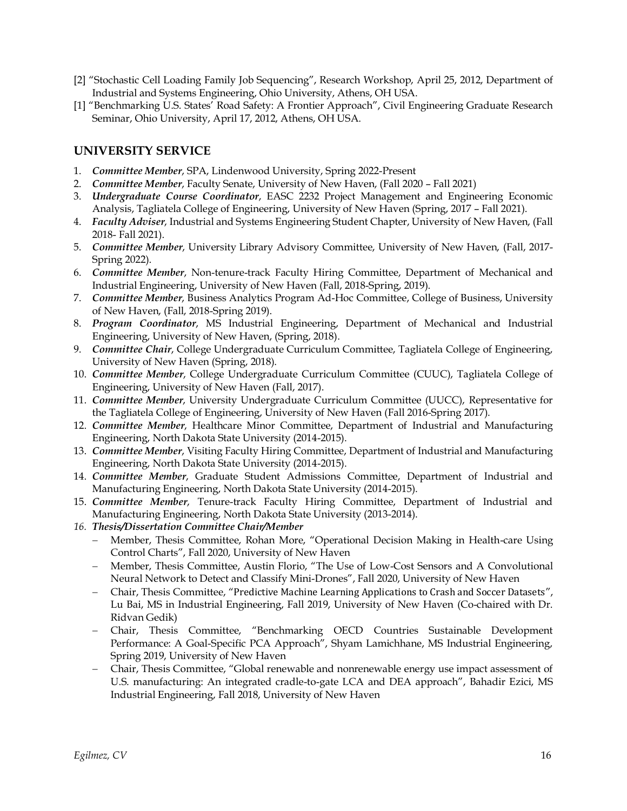- [2] "Stochastic Cell Loading Family Job Sequencing", Research Workshop, April 25, 2012, Department of Industrial and Systems Engineering, Ohio University, Athens, OH USA.
- [1] "Benchmarking U.S. States' Road Safety: A Frontier Approach", Civil Engineering Graduate Research Seminar, Ohio University, April 17, 2012, Athens, OH USA.

# **UNIVERSITY SERVICE**

- 1. *Committee Member*, SPA, Lindenwood University, Spring 2022-Present
- 2. *Committee Member*, Faculty Senate, University of New Haven, (Fall 2020 Fall 2021)
- 3. *Undergraduate Course Coordinator*, EASC 2232 Project Management and Engineering Economic Analysis, Tagliatela College of Engineering, University of New Haven (Spring, 2017 – Fall 2021).
- 4. *Faculty Adviser*, Industrial and Systems Engineering Student Chapter, University of New Haven, (Fall 2018- Fall 2021).
- 5. *Committee Member*, University Library Advisory Committee, University of New Haven, (Fall, 2017- Spring 2022).
- 6. *Committee Member*, Non-tenure-track Faculty Hiring Committee, Department of Mechanical and Industrial Engineering, University of New Haven (Fall, 2018-Spring, 2019).
- 7. *Committee Member*, Business Analytics Program Ad-Hoc Committee, College of Business, University of New Haven, (Fall, 2018-Spring 2019).
- 8. *Program Coordinator*, MS Industrial Engineering, Department of Mechanical and Industrial Engineering, University of New Haven, (Spring, 2018).
- 9. *Committee Chair*, College Undergraduate Curriculum Committee, Tagliatela College of Engineering, University of New Haven (Spring, 2018).
- 10. *Committee Member*, College Undergraduate Curriculum Committee (CUUC), Tagliatela College of Engineering, University of New Haven (Fall, 2017).
- 11. *Committee Member*, University Undergraduate Curriculum Committee (UUCC), Representative for the Tagliatela College of Engineering, University of New Haven (Fall 2016-Spring 2017).
- 12. *Committee Member*, Healthcare Minor Committee, Department of Industrial and Manufacturing Engineering, North Dakota State University (2014-2015).
- 13. *Committee Member*, Visiting Faculty Hiring Committee, Department of Industrial and Manufacturing Engineering, North Dakota State University (2014-2015).
- 14. *Committee Member*, Graduate Student Admissions Committee, Department of Industrial and Manufacturing Engineering, North Dakota State University (2014-2015).
- 15. *Committee Member*, Tenure-track Faculty Hiring Committee, Department of Industrial and Manufacturing Engineering, North Dakota State University (2013-2014).
- *16. Thesis/Dissertation Committee Chair/Member*
	- − Member, Thesis Committee, Rohan More, "Operational Decision Making in Health-care Using Control Charts", Fall 2020, University of New Haven
	- − Member, Thesis Committee, Austin Florio, "The Use of Low-Cost Sensors and A Convolutional Neural Network to Detect and Classify Mini-Drones", Fall 2020, University of New Haven
	- − Chair, Thesis Committee, "Predictive Machine Learning Applications to Crash and Soccer Datasets", Lu Bai, MS in Industrial Engineering, Fall 2019, University of New Haven (Co-chaired with Dr. Ridvan Gedik)
	- − Chair, Thesis Committee, "Benchmarking OECD Countries Sustainable Development Performance: A Goal-Specific PCA Approach", Shyam Lamichhane, MS Industrial Engineering, Spring 2019, University of New Haven
	- − Chair, Thesis Committee, "Global renewable and nonrenewable energy use impact assessment of U.S. manufacturing: An integrated cradle-to-gate LCA and DEA approach", Bahadir Ezici, MS Industrial Engineering, Fall 2018, University of New Haven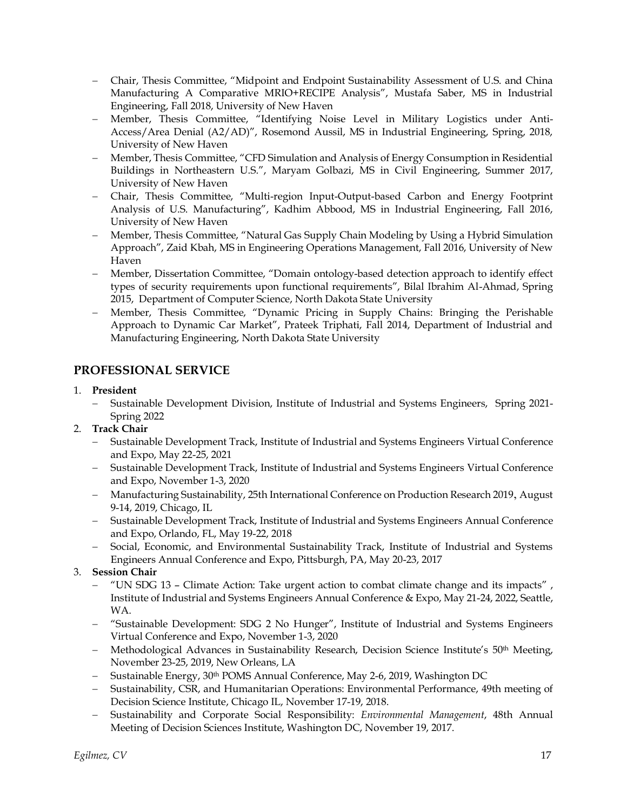- − Chair, Thesis Committee, "Midpoint and Endpoint Sustainability Assessment of U.S. and China Manufacturing A Comparative MRIO+RECIPE Analysis", Mustafa Saber, MS in Industrial Engineering, Fall 2018, University of New Haven
- − Member, Thesis Committee, "Identifying Noise Level in Military Logistics under Anti-Access/Area Denial (A2/AD)", Rosemond Aussil, MS in Industrial Engineering, Spring, 2018, University of New Haven
- − Member, Thesis Committee, "CFD Simulation and Analysis of Energy Consumption in Residential Buildings in Northeastern U.S.", Maryam Golbazi, MS in Civil Engineering, Summer 2017, University of New Haven
- − Chair, Thesis Committee, "Multi-region Input-Output-based Carbon and Energy Footprint Analysis of U.S. Manufacturing", Kadhim Abbood, MS in Industrial Engineering, Fall 2016, University of New Haven
- − Member, Thesis Committee, "Natural Gas Supply Chain Modeling by Using a Hybrid Simulation Approach", Zaid Kbah, MS in Engineering Operations Management, Fall 2016, University of New Haven
- − Member, Dissertation Committee, "Domain ontology-based detection approach to identify effect types of security requirements upon functional requirements", Bilal Ibrahim Al-Ahmad, Spring 2015, Department of Computer Science, North Dakota State University
- − Member, Thesis Committee, "Dynamic Pricing in Supply Chains: Bringing the Perishable Approach to Dynamic Car Market", Prateek Triphati, Fall 2014, Department of Industrial and Manufacturing Engineering, North Dakota State University

# **PROFESSIONAL SERVICE**

## 1. **President**

- − Sustainable Development Division, Institute of Industrial and Systems Engineers, Spring 2021- Spring 2022
- 2. **Track Chair**
	- − Sustainable Development Track, Institute of Industrial and Systems Engineers Virtual Conference and Expo, May 22-25, 2021
	- − Sustainable Development Track, Institute of Industrial and Systems Engineers Virtual Conference and Expo, November 1-3, 2020
	- − Manufacturing Sustainability, 25th International Conference on Production Research 2019, August 9-14, 2019, Chicago, IL
	- − Sustainable Development Track, Institute of Industrial and Systems Engineers Annual Conference and Expo, Orlando, FL, May 19-22, 2018
	- − Social, Economic, and Environmental Sustainability Track, Institute of Industrial and Systems Engineers Annual Conference and Expo, Pittsburgh, PA, May 20-23, 2017
- 3. **Session Chair**
	- − "UN SDG 13 Climate Action: Take urgent action to combat climate change and its impacts" , Institute of Industrial and Systems Engineers Annual Conference & Expo, May 21-24, 2022, Seattle, WA.
	- − "Sustainable Development: SDG 2 No Hunger", Institute of Industrial and Systems Engineers Virtual Conference and Expo, November 1-3, 2020
	- − Methodological Advances in Sustainability Research, Decision Science Institute's 50th Meeting, November 23-25, 2019, New Orleans, LA
	- − Sustainable Energy, 30th POMS Annual Conference, May 2-6, 2019, Washington DC
	- − Sustainability, CSR, and Humanitarian Operations: Environmental Performance, 49th meeting of Decision Science Institute, Chicago IL, November 17-19, 2018.
	- − Sustainability and Corporate Social Responsibility: *Environmental Management*, 48th Annual Meeting of Decision Sciences Institute, Washington DC, November 19, 2017.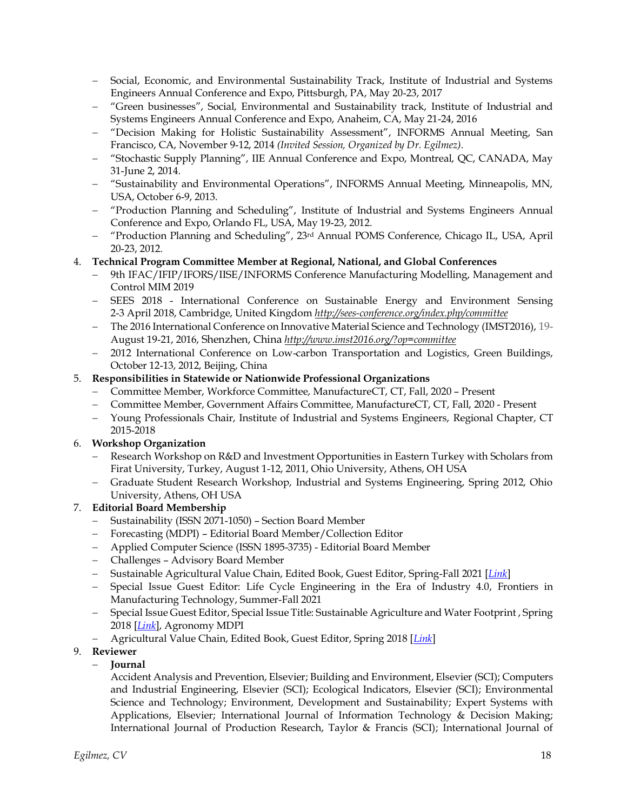- − Social, Economic, and Environmental Sustainability Track, Institute of Industrial and Systems Engineers Annual Conference and Expo, Pittsburgh, PA, May 20-23, 2017
- − "Green businesses", Social, Environmental and Sustainability track, Institute of Industrial and Systems Engineers Annual Conference and Expo, Anaheim, CA, May 21-24, 2016
- − "Decision Making for Holistic Sustainability Assessment", INFORMS Annual Meeting, San Francisco, CA, November 9-12, 2014 *(Invited Session, Organized by Dr. Egilmez).*
- − "Stochastic Supply Planning", IIE Annual Conference and Expo, Montreal, QC, CANADA, May 31-June 2, 2014.
- − "Sustainability and Environmental Operations", INFORMS Annual Meeting, Minneapolis, MN, USA, October 6-9, 2013.
- − "Production Planning and Scheduling", Institute of Industrial and Systems Engineers Annual Conference and Expo, Orlando FL, USA, May 19-23, 2012.
- − "Production Planning and Scheduling", 23rd Annual POMS Conference, Chicago IL, USA, April 20-23, 2012.
- 4. **Technical Program Committee Member at Regional, National, and Global Conferences**
	- − 9th IFAC/IFIP/IFORS/IISE/INFORMS Conference Manufacturing Modelling, Management and Control MIM 2019
	- − SEES 2018 International Conference on Sustainable Energy and Environment Sensing 2-3 April 2018, Cambridge, United Kingdom *<http://sees-conference.org/index.php/committee>*
	- − The 2016 International Conference on Innovative Material Science and Technology (IMST2016), 19- August 19-21, 2016, Shenzhen, China *<http://www.imst2016.org/?op=committee>*
	- − 2012 International Conference on Low-carbon Transportation and Logistics, Green Buildings, October 12-13, 2012, Beijing, China

## 5. **Responsibilities in Statewide or Nationwide Professional Organizations**

- − Committee Member, Workforce Committee, ManufactureCT, CT, Fall, 2020 Present
- − Committee Member, Government Affairs Committee, ManufactureCT, CT, Fall, 2020 Present
- − Young Professionals Chair, Institute of Industrial and Systems Engineers, Regional Chapter, CT 2015-2018

#### 6. **Workshop Organization**

- Research Workshop on R&D and Investment Opportunities in Eastern Turkey with Scholars from Firat University, Turkey, August 1-12, 2011, Ohio University, Athens, OH USA
- − Graduate Student Research Workshop, Industrial and Systems Engineering, Spring 2012, Ohio University, Athens, OH USA

## 7. **Editorial Board Membership**

- − Sustainability (ISSN 2071-1050) Section Board Member
- − Forecasting (MDPI) Editorial Board Member/Collection Editor
- − Applied Computer Science (ISSN 1895-3735) Editorial Board Member
- − Challenges Advisory Board Member
- − Sustainable Agricultural Value Chain, Edited Book, Guest Editor, Spring-Fall 2021 [*[Link](https://mts.intechopen.com/welcome?books_hash=184f97ed068ba85d789b441fdd97d49f&editor_contacts=a80ac0e94&books_id=10757)*]
- − Special Issue Guest Editor: Life Cycle Engineering in the Era of Industry 4.0, Frontiers in Manufacturing Technology, Summer-Fall 2021
- − Special Issue Guest Editor, Special Issue Title: Sustainable Agriculture and Water Footprint , Spring 2018 [*[Link](http://www.mdpi.com/journal/agronomy/special_issues/sustainable_agriculture_water_footprint)*], Agronomy MDPI
- − Agricultural Value Chain, Edited Book, Guest Editor, Spring 2018 [*[Link](https://www.intechopen.com/books/agricultural-value-chain)*]
- 9. **Reviewer**

# − **Journal**

Accident Analysis and Prevention, Elsevier; Building and Environment, Elsevier (SCI); Computers and Industrial Engineering, Elsevier (SCI); Ecological Indicators, Elsevier (SCI); Environmental Science and Technology; Environment, Development and Sustainability; Expert Systems with Applications, Elsevier; International Journal of Information Technology & Decision Making; International Journal of Production Research, Taylor & Francis (SCI); International Journal of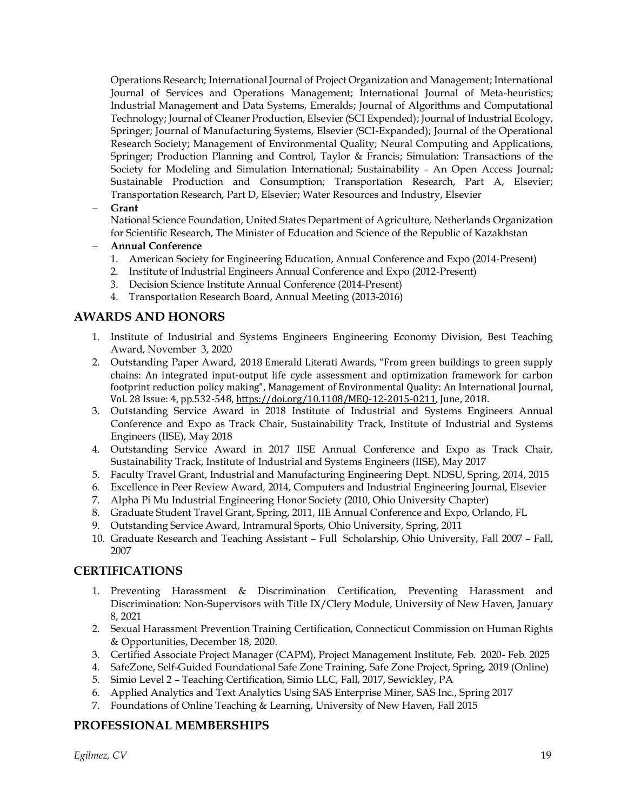Operations Research; International Journal of Project Organization and Management; International Journal of Services and Operations Management; International Journal of Meta-heuristics; Industrial Management and Data Systems, Emeralds; Journal of Algorithms and Computational Technology; Journal of Cleaner Production, Elsevier (SCI Expended); Journal of Industrial Ecology, Springer; Journal of Manufacturing Systems, Elsevier (SCI-Expanded); Journal of the Operational Research Society; Management of Environmental Quality; Neural Computing and Applications, Springer; Production Planning and Control, Taylor & Francis; Simulation: Transactions of the Society for Modeling and Simulation International; Sustainability - An Open Access Journal; Sustainable Production and Consumption; Transportation Research, Part A, Elsevier; Transportation Research, Part D, Elsevier; Water Resources and Industry, Elsevier

#### − **Grant**

National Science Foundation, United States Department of Agriculture, Netherlands Organization for Scientific Research, The Minister of Education and Science of the Republic of Kazakhstan

#### − **Annual Conference**

- 1. American Society for Engineering Education, Annual Conference and Expo (2014-Present)
- 2. Institute of Industrial Engineers Annual Conference and Expo (2012-Present)
- 3. Decision Science Institute Annual Conference (2014-Present)
- 4. Transportation Research Board, Annual Meeting (2013-2016)

# **AWARDS AND HONORS**

- 1. Institute of Industrial and Systems Engineers Engineering Economy Division, Best Teaching Award, November 3, 2020
- 2. Outstanding Paper Award, 2018 Emerald Literati Awards, "From green buildings to green supply chains: An integrated input-output life cycle assessment and optimization framework for carbon footprint reduction policy making", Management of Environmental Quality: An International Journal, Vol. 28 Issue: 4, pp.532-548, [https://doi.org/10.1108/MEQ-12-2015-0211,](https://doi.org/10.1108/MEQ-12-2015-0211) June, 2018.
- 3. Outstanding Service Award in 2018 Institute of Industrial and Systems Engineers Annual Conference and Expo as Track Chair, Sustainability Track, Institute of Industrial and Systems Engineers (IISE), May 2018
- 4. Outstanding Service Award in 2017 IISE Annual Conference and Expo as Track Chair, Sustainability Track, Institute of Industrial and Systems Engineers (IISE), May 2017
- 5. Faculty Travel Grant, Industrial and Manufacturing Engineering Dept. NDSU, Spring, 2014, 2015
- 6. Excellence in Peer Review Award, 2014, Computers and Industrial Engineering Journal, Elsevier
- 7. Alpha Pi Mu Industrial Engineering Honor Society (2010, Ohio University Chapter)
- 8. Graduate Student Travel Grant, Spring, 2011, IIE Annual Conference and Expo, Orlando, FL
- 9. Outstanding Service Award, Intramural Sports, Ohio University, Spring, 2011
- 10. Graduate Research and Teaching Assistant Full Scholarship, Ohio University, Fall 2007 Fall, 2007

# **CERTIFICATIONS**

- 1. Preventing Harassment & Discrimination Certification, Preventing Harassment and Discrimination: Non-Supervisors with Title IX/Clery Module, University of New Haven, January 8, 2021
- 2. Sexual Harassment Prevention Training Certification, Connecticut Commission on Human Rights & Opportunities, December 18, 2020.
- 3. Certified Associate Project Manager (CAPM), Project Management Institute, Feb. 2020- Feb. 2025
- 4. SafeZone, Self-Guided Foundational Safe Zone Training, Safe Zone Project, Spring, 2019 (Online)
- 5. Simio Level 2 Teaching Certification, Simio LLC, Fall, 2017, Sewickley, PA
- 6. Applied Analytics and Text Analytics Using SAS Enterprise Miner, SAS Inc., Spring 2017
- 7. Foundations of Online Teaching & Learning, University of New Haven, Fall 2015

## **PROFESSIONAL MEMBERSHIPS**